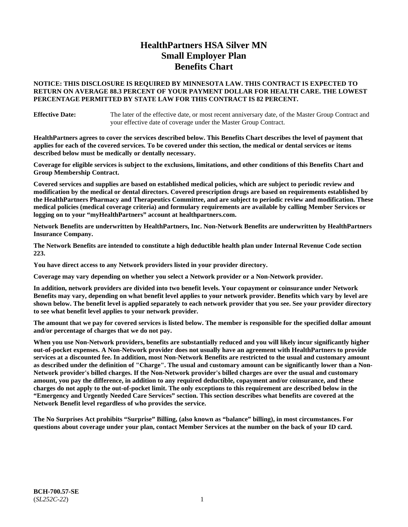# **HealthPartners HSA Silver MN Small Employer Plan Benefits Chart**

### **NOTICE: THIS DISCLOSURE IS REQUIRED BY MINNESOTA LAW. THIS CONTRACT IS EXPECTED TO RETURN ON AVERAGE 88.3 PERCENT OF YOUR PAYMENT DOLLAR FOR HEALTH CARE. THE LOWEST PERCENTAGE PERMITTED BY STATE LAW FOR THIS CONTRACT IS 82 PERCENT.**

**Effective Date:** The later of the effective date, or most recent anniversary date, of the Master Group Contract and your effective date of coverage under the Master Group Contract.

**HealthPartners agrees to cover the services described below. This Benefits Chart describes the level of payment that applies for each of the covered services. To be covered under this section, the medical or dental services or items described below must be medically or dentally necessary.**

**Coverage for eligible services is subject to the exclusions, limitations, and other conditions of this Benefits Chart and Group Membership Contract.**

**Covered services and supplies are based on established medical policies, which are subject to periodic review and modification by the medical or dental directors. Covered prescription drugs are based on requirements established by the HealthPartners Pharmacy and Therapeutics Committee, and are subject to periodic review and modification. These medical policies (medical coverage criteria) and formulary requirements are available by calling Member Services or logging on to your "myHealthPartners" account at [healthpartners.com.](https://www.healthpartners.com/hp/index.html)**

**Network Benefits are underwritten by HealthPartners, Inc. Non-Network Benefits are underwritten by HealthPartners Insurance Company.** 

**The Network Benefits are intended to constitute a high deductible health plan under Internal Revenue Code section 223.** 

**You have direct access to any Network providers listed in your provider directory.**

**Coverage may vary depending on whether you select a Network provider or a Non-Network provider.**

**In addition, network providers are divided into two benefit levels. Your copayment or coinsurance under Network Benefits may vary, depending on what benefit level applies to your network provider. Benefits which vary by level are shown below. The benefit level is applied separately to each network provider that you see. See your provider directory to see what benefit level applies to your network provider.**

**The amount that we pay for covered services is listed below. The member is responsible for the specified dollar amount and/or percentage of charges that we do not pay.**

**When you use Non-Network providers, benefits are substantially reduced and you will likely incur significantly higher out-of-pocket expenses. A Non-Network provider does not usually have an agreement with HealthPartners to provide services at a discounted fee. In addition, most Non-Network Benefits are restricted to the usual and customary amount as described under the definition of "Charge". The usual and customary amount can be significantly lower than a Non-Network provider's billed charges. If the Non-Network provider's billed charges are over the usual and customary amount, you pay the difference, in addition to any required deductible, copayment and/or coinsurance, and these charges do not apply to the out-of-pocket limit. The only exceptions to this requirement are described below in the "Emergency and Urgently Needed Care Services" section. This section describes what benefits are covered at the Network Benefit level regardless of who provides the service.**

**The No Surprises Act prohibits "Surprise" Billing, (also known as "balance" billing), in most circumstances. For questions about coverage under your plan, contact Member Services at the number on the back of your ID card.**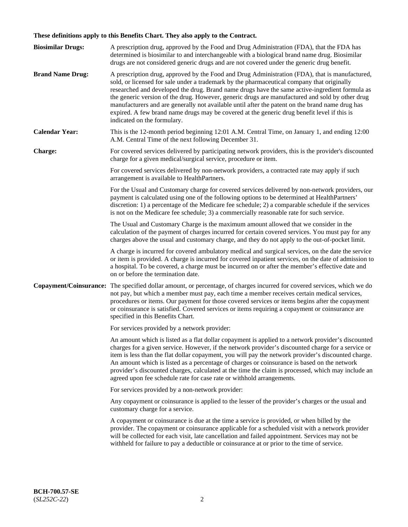# **These definitions apply to this Benefits Chart. They also apply to the Contract.**

| <b>Biosimilar Drugs:</b> | A prescription drug, approved by the Food and Drug Administration (FDA), that the FDA has<br>determined is biosimilar to and interchangeable with a biological brand name drug. Biosimilar<br>drugs are not considered generic drugs and are not covered under the generic drug benefit.                                                                                                                                                                                                                                                                                                                                           |
|--------------------------|------------------------------------------------------------------------------------------------------------------------------------------------------------------------------------------------------------------------------------------------------------------------------------------------------------------------------------------------------------------------------------------------------------------------------------------------------------------------------------------------------------------------------------------------------------------------------------------------------------------------------------|
| <b>Brand Name Drug:</b>  | A prescription drug, approved by the Food and Drug Administration (FDA), that is manufactured,<br>sold, or licensed for sale under a trademark by the pharmaceutical company that originally<br>researched and developed the drug. Brand name drugs have the same active-ingredient formula as<br>the generic version of the drug. However, generic drugs are manufactured and sold by other drug<br>manufacturers and are generally not available until after the patent on the brand name drug has<br>expired. A few brand name drugs may be covered at the generic drug benefit level if this is<br>indicated on the formulary. |
| <b>Calendar Year:</b>    | This is the 12-month period beginning 12:01 A.M. Central Time, on January 1, and ending 12:00<br>A.M. Central Time of the next following December 31.                                                                                                                                                                                                                                                                                                                                                                                                                                                                              |
| <b>Charge:</b>           | For covered services delivered by participating network providers, this is the provider's discounted<br>charge for a given medical/surgical service, procedure or item.                                                                                                                                                                                                                                                                                                                                                                                                                                                            |
|                          | For covered services delivered by non-network providers, a contracted rate may apply if such<br>arrangement is available to HealthPartners.                                                                                                                                                                                                                                                                                                                                                                                                                                                                                        |
|                          | For the Usual and Customary charge for covered services delivered by non-network providers, our<br>payment is calculated using one of the following options to be determined at HealthPartners'<br>discretion: 1) a percentage of the Medicare fee schedule; 2) a comparable schedule if the services<br>is not on the Medicare fee schedule; 3) a commercially reasonable rate for such service.                                                                                                                                                                                                                                  |
|                          | The Usual and Customary Charge is the maximum amount allowed that we consider in the<br>calculation of the payment of charges incurred for certain covered services. You must pay for any<br>charges above the usual and customary charge, and they do not apply to the out-of-pocket limit.                                                                                                                                                                                                                                                                                                                                       |
|                          | A charge is incurred for covered ambulatory medical and surgical services, on the date the service<br>or item is provided. A charge is incurred for covered inpatient services, on the date of admission to<br>a hospital. To be covered, a charge must be incurred on or after the member's effective date and<br>on or before the termination date.                                                                                                                                                                                                                                                                              |
| Copayment/Coinsurance:   | The specified dollar amount, or percentage, of charges incurred for covered services, which we do<br>not pay, but which a member must pay, each time a member receives certain medical services,<br>procedures or items. Our payment for those covered services or items begins after the copayment<br>or coinsurance is satisfied. Covered services or items requiring a copayment or coinsurance are<br>specified in this Benefits Chart.                                                                                                                                                                                        |
|                          | For services provided by a network provider:                                                                                                                                                                                                                                                                                                                                                                                                                                                                                                                                                                                       |
|                          | An amount which is listed as a flat dollar copayment is applied to a network provider's discounted<br>charges for a given service. However, if the network provider's discounted charge for a service or<br>item is less than the flat dollar copayment, you will pay the network provider's discounted charge.<br>An amount which is listed as a percentage of charges or coinsurance is based on the network<br>provider's discounted charges, calculated at the time the claim is processed, which may include an<br>agreed upon fee schedule rate for case rate or withhold arrangements.                                      |
|                          | For services provided by a non-network provider:                                                                                                                                                                                                                                                                                                                                                                                                                                                                                                                                                                                   |
|                          | Any copayment or coinsurance is applied to the lesser of the provider's charges or the usual and<br>customary charge for a service.                                                                                                                                                                                                                                                                                                                                                                                                                                                                                                |
|                          | A copayment or coinsurance is due at the time a service is provided, or when billed by the<br>provider. The copayment or coinsurance applicable for a scheduled visit with a network provider<br>will be collected for each visit, late cancellation and failed appointment. Services may not be<br>withheld for failure to pay a deductible or coinsurance at or prior to the time of service.                                                                                                                                                                                                                                    |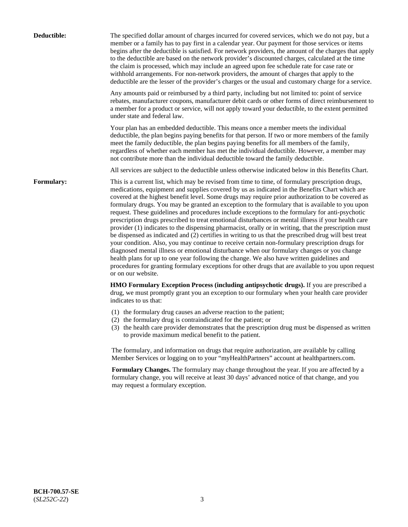| Deductible:       | The specified dollar amount of charges incurred for covered services, which we do not pay, but a<br>member or a family has to pay first in a calendar year. Our payment for those services or items<br>begins after the deductible is satisfied. For network providers, the amount of the charges that apply<br>to the deductible are based on the network provider's discounted charges, calculated at the time<br>the claim is processed, which may include an agreed upon fee schedule rate for case rate or<br>withhold arrangements. For non-network providers, the amount of charges that apply to the<br>deductible are the lesser of the provider's charges or the usual and customary charge for a service.                                                                                                                                                                                                                                                                                                                                                                                                                                                                                                                                             |
|-------------------|------------------------------------------------------------------------------------------------------------------------------------------------------------------------------------------------------------------------------------------------------------------------------------------------------------------------------------------------------------------------------------------------------------------------------------------------------------------------------------------------------------------------------------------------------------------------------------------------------------------------------------------------------------------------------------------------------------------------------------------------------------------------------------------------------------------------------------------------------------------------------------------------------------------------------------------------------------------------------------------------------------------------------------------------------------------------------------------------------------------------------------------------------------------------------------------------------------------------------------------------------------------|
|                   | Any amounts paid or reimbursed by a third party, including but not limited to: point of service<br>rebates, manufacturer coupons, manufacturer debit cards or other forms of direct reimbursement to<br>a member for a product or service, will not apply toward your deductible, to the extent permitted<br>under state and federal law.                                                                                                                                                                                                                                                                                                                                                                                                                                                                                                                                                                                                                                                                                                                                                                                                                                                                                                                        |
|                   | Your plan has an embedded deductible. This means once a member meets the individual<br>deductible, the plan begins paying benefits for that person. If two or more members of the family<br>meet the family deductible, the plan begins paying benefits for all members of the family,<br>regardless of whether each member has met the individual deductible. However, a member may<br>not contribute more than the individual deductible toward the family deductible.                                                                                                                                                                                                                                                                                                                                                                                                                                                                                                                                                                                                                                                                                                                                                                                         |
|                   | All services are subject to the deductible unless otherwise indicated below in this Benefits Chart.                                                                                                                                                                                                                                                                                                                                                                                                                                                                                                                                                                                                                                                                                                                                                                                                                                                                                                                                                                                                                                                                                                                                                              |
| <b>Formulary:</b> | This is a current list, which may be revised from time to time, of formulary prescription drugs,<br>medications, equipment and supplies covered by us as indicated in the Benefits Chart which are<br>covered at the highest benefit level. Some drugs may require prior authorization to be covered as<br>formulary drugs. You may be granted an exception to the formulary that is available to you upon<br>request. These guidelines and procedures include exceptions to the formulary for anti-psychotic<br>prescription drugs prescribed to treat emotional disturbances or mental illness if your health care<br>provider (1) indicates to the dispensing pharmacist, orally or in writing, that the prescription must<br>be dispensed as indicated and (2) certifies in writing to us that the prescribed drug will best treat<br>your condition. Also, you may continue to receive certain non-formulary prescription drugs for<br>diagnosed mental illness or emotional disturbance when our formulary changes or you change<br>health plans for up to one year following the change. We also have written guidelines and<br>procedures for granting formulary exceptions for other drugs that are available to you upon request<br>or on our website. |
|                   | HMO Formulary Exception Process (including antipsychotic drugs). If you are prescribed a<br>drug, we must promptly grant you an exception to our formulary when your health care provider<br>indicates to us that:                                                                                                                                                                                                                                                                                                                                                                                                                                                                                                                                                                                                                                                                                                                                                                                                                                                                                                                                                                                                                                               |
|                   | (1) the formulary drug causes an adverse reaction to the patient;<br>(2) the formulary drug is contraindicated for the patient; or<br>(3) the health care provider demonstrates that the prescription drug must be dispensed as written<br>to provide maximum medical benefit to the patient.                                                                                                                                                                                                                                                                                                                                                                                                                                                                                                                                                                                                                                                                                                                                                                                                                                                                                                                                                                    |
|                   | The formulary, and information on drugs that require authorization, are available by calling<br>Member Services or logging on to your "myHealthPartners" account at healthpartners.com.                                                                                                                                                                                                                                                                                                                                                                                                                                                                                                                                                                                                                                                                                                                                                                                                                                                                                                                                                                                                                                                                          |
|                   | Formulary Changes. The formulary may change throughout the year. If you are affected by a<br>formulary change, you will receive at least 30 days' advanced notice of that change, and you<br>may request a formulary exception.                                                                                                                                                                                                                                                                                                                                                                                                                                                                                                                                                                                                                                                                                                                                                                                                                                                                                                                                                                                                                                  |
|                   |                                                                                                                                                                                                                                                                                                                                                                                                                                                                                                                                                                                                                                                                                                                                                                                                                                                                                                                                                                                                                                                                                                                                                                                                                                                                  |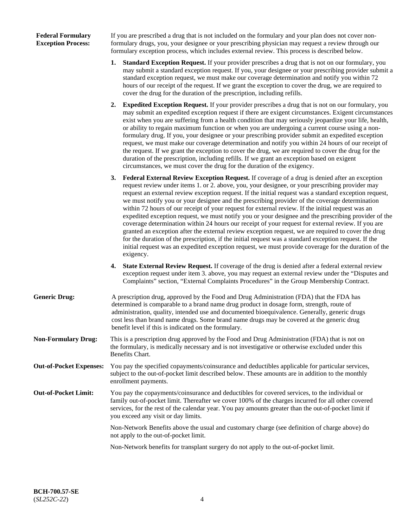### **Federal Formulary Exception Process:**

If you are prescribed a drug that is not included on the formulary and your plan does not cover nonformulary drugs, you, your designee or your prescribing physician may request a review through our formulary exception process, which includes external review. This process is described below.

- **1. Standard Exception Request.** If your provider prescribes a drug that is not on our formulary, you may submit a standard exception request. If you, your designee or your prescribing provider submit a standard exception request, we must make our coverage determination and notify you within 72 hours of our receipt of the request. If we grant the exception to cover the drug, we are required to cover the drug for the duration of the prescription, including refills.
- **2. Expedited Exception Request.** If your provider prescribes a drug that is not on our formulary, you may submit an expedited exception request if there are exigent circumstances. Exigent circumstances exist when you are suffering from a health condition that may seriously jeopardize your life, health, or ability to regain maximum function or when you are undergoing a current course using a nonformulary drug. If you, your designee or your prescribing provider submit an expedited exception request, we must make our coverage determination and notify you within 24 hours of our receipt of the request. If we grant the exception to cover the drug, we are required to cover the drug for the duration of the prescription, including refills. If we grant an exception based on exigent circumstances, we must cover the drug for the duration of the exigency.
- **3. Federal External Review Exception Request.** If coverage of a drug is denied after an exception request review under items 1. or 2. above, you, your designee, or your prescribing provider may request an external review exception request. If the initial request was a standard exception request, we must notify you or your designee and the prescribing provider of the coverage determination within 72 hours of our receipt of your request for external review. If the initial request was an expedited exception request, we must notify you or your designee and the prescribing provider of the coverage determination within 24 hours our receipt of your request for external review. If you are granted an exception after the external review exception request, we are required to cover the drug for the duration of the prescription, if the initial request was a standard exception request. If the initial request was an expedited exception request, we must provide coverage for the duration of the exigency.
- **4. State External Review Request.** If coverage of the drug is denied after a federal external review exception request under item 3. above, you may request an external review under the "Disputes and Complaints" section, "External Complaints Procedures" in the Group Membership Contract.
- **Generic Drug:** A prescription drug, approved by the Food and Drug Administration (FDA) that the FDA has determined is comparable to a brand name drug product in dosage form, strength, route of administration, quality, intended use and documented bioequivalence. Generally, generic drugs cost less than brand name drugs. Some brand name drugs may be covered at the generic drug benefit level if this is indicated on the formulary.
- **Non-Formulary Drug:** This is a prescription drug approved by the Food and Drug Administration (FDA) that is not on the formulary, is medically necessary and is not investigative or otherwise excluded under this Benefits Chart.
- **Out-of-Pocket Expenses:** You pay the specified copayments/coinsurance and deductibles applicable for particular services, subject to the out-of-pocket limit described below. These amounts are in addition to the monthly enrollment payments.
- **Out-of-Pocket Limit:** You pay the copayments/coinsurance and deductibles for covered services, to the individual or family out-of-pocket limit. Thereafter we cover 100% of the charges incurred for all other covered services, for the rest of the calendar year. You pay amounts greater than the out-of-pocket limit if you exceed any visit or day limits.

Non-Network Benefits above the usual and customary charge (see definition of charge above) do not apply to the out-of-pocket limit.

Non-Network benefits for transplant surgery do not apply to the out-of-pocket limit.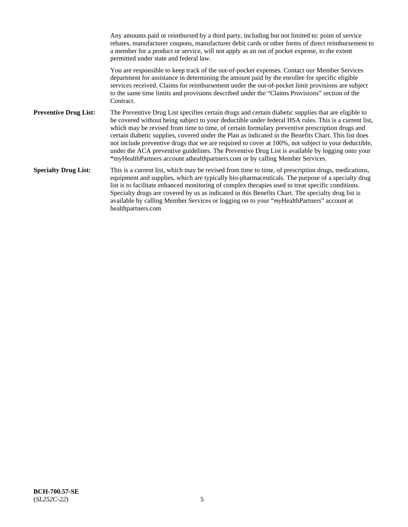Any amounts paid or reimbursed by a third party, including but not limited to: point of service rebates, manufacturer coupons, manufacturer debit cards or other forms of direct reimbursement to a member for a product or service, will not apply as an out of pocket expense, to the extent permitted under state and federal law. You are responsible to keep track of the out-of-pocket expenses. Contact our Member Services department for assistance in determining the amount paid by the enrollee for specific eligible services received. Claims for reimbursement under the out-of-pocket limit provisions are subject to the same time limits and provisions described under the "Claims Provisions" section of the **Contract Preventive Drug List:** The Preventive Drug List specifies certain drugs and certain diabetic supplies that are eligible to be covered without being subject to your deductible under federal HSA rules. This is a current list, which may be revised from time to time, of certain formulary preventive prescription drugs and certain diabetic supplies, covered under the Plan as indicated in the Benefits Chart. This list does not include preventive drugs that we are required to cover at 100%, not subject to your deductible, under the ACA preventive guidelines. The Preventive Drug List is available by logging onto your **"**myHealthPartners account athealthpartners.com or by calling Member Services. **Specialty Drug List:** This is a current list, which may be revised from time to time, of prescription drugs, medications, equipment and supplies, which are typically bio-pharmaceuticals. The purpose of a specialty drug list is to facilitate enhanced monitoring of complex therapies used to treat specific conditions. Specialty drugs are covered by us as indicated in this Benefits Chart. The specialty drug list is available by calling Member Services or logging on to your "*my*HealthPartners" account at [healthpartners.com](https://www.healthpartners.com/hp/index.html)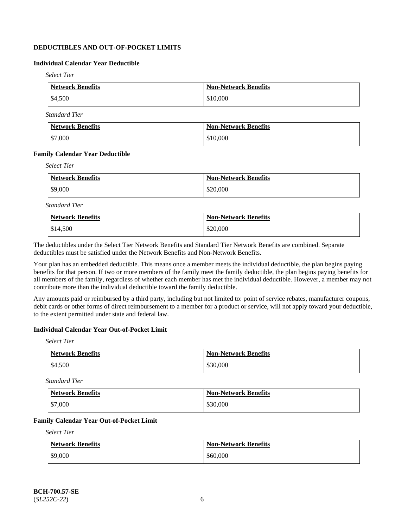# **DEDUCTIBLES AND OUT-OF-POCKET LIMITS**

# **Individual Calendar Year Deductible**

*Select Tier*

| Network Benefits   | <b>Non-Network Benefits</b> |
|--------------------|-----------------------------|
| $\frac{$4,500}{ }$ | \$10,000                    |

*Standard Tier*

| <b>Network Benefits</b> | <b>Non-Network Benefits</b> |
|-------------------------|-----------------------------|
| $\frac{1}{2}$ \$7,000   | \$10,000                    |

#### **Family Calendar Year Deductible**

*Select Tier*

| <b>Network Benefits</b> | <b>Non-Network Benefits</b> |
|-------------------------|-----------------------------|
| \$9,000                 | \$20,000                    |

*Standard Tier*

| <b>Network Benefits</b> | <b>Non-Network Benefits</b> |
|-------------------------|-----------------------------|
| \$14,500                | \$20,000                    |

The deductibles under the Select Tier Network Benefits and Standard Tier Network Benefits are combined. Separate deductibles must be satisfied under the Network Benefits and Non-Network Benefits.

Your plan has an embedded deductible. This means once a member meets the individual deductible, the plan begins paying benefits for that person. If two or more members of the family meet the family deductible, the plan begins paying benefits for all members of the family, regardless of whether each member has met the individual deductible. However, a member may not contribute more than the individual deductible toward the family deductible.

Any amounts paid or reimbursed by a third party, including but not limited to: point of service rebates, manufacturer coupons, debit cards or other forms of direct reimbursement to a member for a product or service, will not apply toward your deductible, to the extent permitted under state and federal law.

### **Individual Calendar Year Out-of-Pocket Limit**

*Select Tier*

| <b>Network Benefits</b> | <b>Non-Network Benefits</b> |
|-------------------------|-----------------------------|
| \$4,500                 | \$30,000                    |

*Standard Tier*

| <b>Network Benefits</b> | <b>Non-Network Benefits</b> |
|-------------------------|-----------------------------|
| \$7,000                 | \$30,000                    |

#### **Family Calendar Year Out-of-Pocket Limit**

*Select Tier*

| <b>Network Benefits</b> | <b>Non-Network Benefits</b> |
|-------------------------|-----------------------------|
| \$9,000                 | \$60,000                    |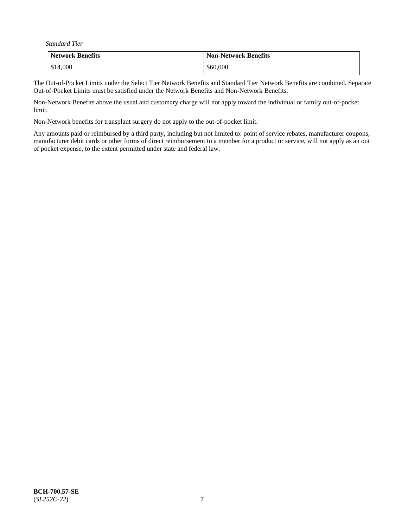*Standard Tier*

| <b>Network Benefits</b> | <b>Non-Network Benefits</b> |
|-------------------------|-----------------------------|
| \$14,000                | \$60,000                    |

The Out-of-Pocket Limits under the Select Tier Network Benefits and Standard Tier Network Benefits are combined. Separate Out-of-Pocket Limits must be satisfied under the Network Benefits and Non-Network Benefits.

Non-Network Benefits above the usual and customary charge will not apply toward the individual or family out-of-pocket limit.

Non-Network benefits for transplant surgery do not apply to the out-of-pocket limit.

Any amounts paid or reimbursed by a third party, including but not limited to: point of service rebates, manufacturer coupons, manufacturer debit cards or other forms of direct reimbursement to a member for a product or service, will not apply as an out of pocket expense, to the extent permitted under state and federal law.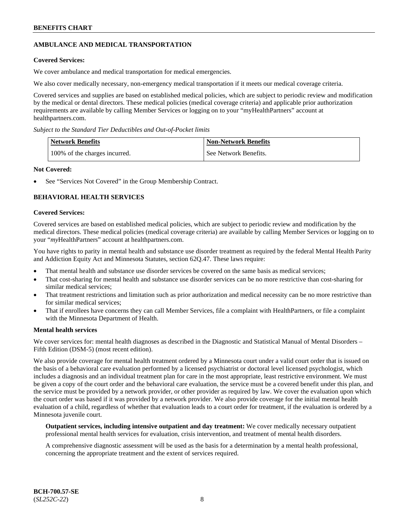# **AMBULANCE AND MEDICAL TRANSPORTATION**

### **Covered Services:**

We cover ambulance and medical transportation for medical emergencies.

We also cover medically necessary, non-emergency medical transportation if it meets our medical coverage criteria.

Covered services and supplies are based on established medical policies, which are subject to periodic review and modification by the medical or dental directors. These medical policies (medical coverage criteria) and applicable prior authorization requirements are available by calling Member Services or logging on to your "myHealthPartners" account at [healthpartners.com.](https://www.healthpartners.com/hp/index.html)

*Subject to the Standard Tier Deductibles and Out-of-Pocket limits*

| <b>Network Benefits</b>       | <b>Non-Network Benefits</b> |
|-------------------------------|-----------------------------|
| 100% of the charges incurred. | See Network Benefits.       |

#### **Not Covered:**

See "Services Not Covered" in the Group Membership Contract.

# **BEHAVIORAL HEALTH SERVICES**

#### **Covered Services:**

Covered services are based on established medical policies, which are subject to periodic review and modification by the medical directors. These medical policies (medical coverage criteria) are available by calling Member Services or logging on to your "*my*HealthPartners" account at [healthpartners.com.](http://www.healthpartners.com/)

You have rights to parity in mental health and substance use disorder treatment as required by the federal Mental Health Parity and Addiction Equity Act and Minnesota Statutes, section 62Q.47. These laws require:

- That mental health and substance use disorder services be covered on the same basis as medical services;
- That cost-sharing for mental health and substance use disorder services can be no more restrictive than cost-sharing for similar medical services;
- That treatment restrictions and limitation such as prior authorization and medical necessity can be no more restrictive than for similar medical services;
- That if enrollees have concerns they can call Member Services, file a complaint with HealthPartners, or file a complaint with the Minnesota Department of Health.

### **Mental health services**

We cover services for: mental health diagnoses as described in the Diagnostic and Statistical Manual of Mental Disorders – Fifth Edition (DSM-5) (most recent edition).

We also provide coverage for mental health treatment ordered by a Minnesota court under a valid court order that is issued on the basis of a behavioral care evaluation performed by a licensed psychiatrist or doctoral level licensed psychologist, which includes a diagnosis and an individual treatment plan for care in the most appropriate, least restrictive environment. We must be given a copy of the court order and the behavioral care evaluation, the service must be a covered benefit under this plan, and the service must be provided by a network provider, or other provider as required by law. We cover the evaluation upon which the court order was based if it was provided by a network provider. We also provide coverage for the initial mental health evaluation of a child, regardless of whether that evaluation leads to a court order for treatment, if the evaluation is ordered by a Minnesota juvenile court.

**Outpatient services, including intensive outpatient and day treatment:** We cover medically necessary outpatient professional mental health services for evaluation, crisis intervention, and treatment of mental health disorders.

A comprehensive diagnostic assessment will be used as the basis for a determination by a mental health professional, concerning the appropriate treatment and the extent of services required.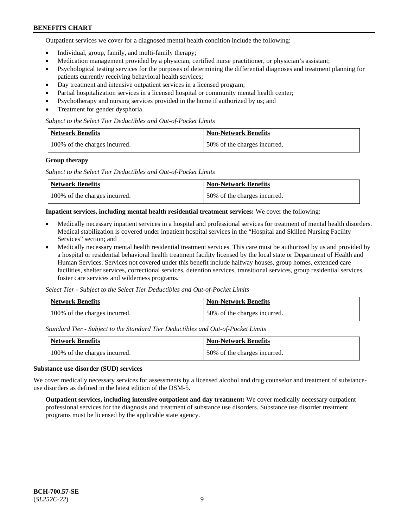Outpatient services we cover for a diagnosed mental health condition include the following:

- Individual, group, family, and multi-family therapy;
- Medication management provided by a physician, certified nurse practitioner, or physician's assistant;
- Psychological testing services for the purposes of determining the differential diagnoses and treatment planning for patients currently receiving behavioral health services;
- Day treatment and intensive outpatient services in a licensed program;
- Partial hospitalization services in a licensed hospital or community mental health center;
- Psychotherapy and nursing services provided in the home if authorized by us; and
- Treatment for gender dysphoria.

#### *Subject to the Select Tier Deductibles and Out-of-Pocket Limits*

| Network Benefits              | <b>Non-Network Benefits</b>  |
|-------------------------------|------------------------------|
| 100% of the charges incurred. | 50% of the charges incurred. |

#### **Group therapy**

*Subject to the Select Tier Deductibles and Out-of-Pocket Limits*

| Network Benefits              | Non-Network Benefits         |
|-------------------------------|------------------------------|
| 100% of the charges incurred. | 50% of the charges incurred. |

#### **Inpatient services, including mental health residential treatment services:** We cover the following:

- Medically necessary inpatient services in a hospital and professional services for treatment of mental health disorders. Medical stabilization is covered under inpatient hospital services in the "Hospital and Skilled Nursing Facility Services" section; and
- Medically necessary mental health residential treatment services. This care must be authorized by us and provided by a hospital or residential behavioral health treatment facility licensed by the local state or Department of Health and Human Services. Services not covered under this benefit include halfway houses, group homes, extended care facilities, shelter services, correctional services, detention services, transitional services, group residential services, foster care services and wilderness programs.

*Select Tier - Subject to the Select Tier Deductibles and Out-of-Pocket Limits*

| Network Benefits              | Non-Network Benefits         |
|-------------------------------|------------------------------|
| 100% of the charges incurred. | 50% of the charges incurred. |

*Standard Tier - Subject to the Standard Tier Deductibles and Out-of-Pocket Limits*

| <b>Network Benefits</b>       | <b>Non-Network Benefits</b>  |
|-------------------------------|------------------------------|
| 100% of the charges incurred. | 50% of the charges incurred. |

#### **Substance use disorder (SUD) services**

We cover medically necessary services for assessments by a licensed alcohol and drug counselor and treatment of substanceuse disorders as defined in the latest edition of the DSM-5.

**Outpatient services, including intensive outpatient and day treatment:** We cover medically necessary outpatient professional services for the diagnosis and treatment of substance use disorders. Substance use disorder treatment programs must be licensed by the applicable state agency.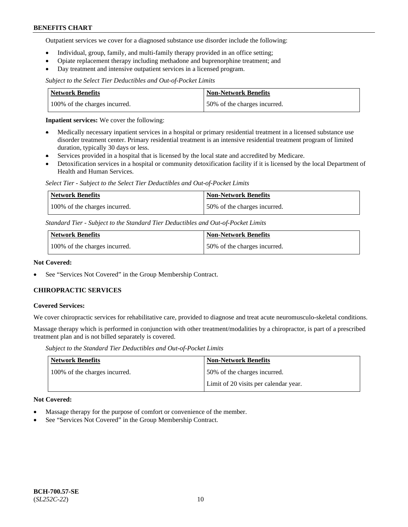Outpatient services we cover for a diagnosed substance use disorder include the following:

- Individual, group, family, and multi-family therapy provided in an office setting;
- Opiate replacement therapy including methadone and buprenorphine treatment; and
- Day treatment and intensive outpatient services in a licensed program.

*Subject to the Select Tier Deductibles and Out-of-Pocket Limits*

| Network Benefits              | <b>Non-Network Benefits</b>  |
|-------------------------------|------------------------------|
| 100% of the charges incurred. | 50% of the charges incurred. |

**Inpatient services:** We cover the following:

- Medically necessary inpatient services in a hospital or primary residential treatment in a licensed substance use disorder treatment center. Primary residential treatment is an intensive residential treatment program of limited duration, typically 30 days or less.
- Services provided in a hospital that is licensed by the local state and accredited by Medicare.
- Detoxification services in a hospital or community detoxification facility if it is licensed by the local Department of Health and Human Services.

*Select Tier - Subject to the Select Tier Deductibles and Out-of-Pocket Limits*

| Network Benefits              | Non-Network Benefits         |
|-------------------------------|------------------------------|
| 100% of the charges incurred. | 50% of the charges incurred. |

*Standard Tier - Subject to the Standard Tier Deductibles and Out-of-Pocket Limits*

| <b>Network Benefits</b>       | <b>Non-Network Benefits</b>  |
|-------------------------------|------------------------------|
| 100% of the charges incurred. | 50% of the charges incurred. |

#### **Not Covered:**

See "Services Not Covered" in the Group Membership Contract.

### **CHIROPRACTIC SERVICES**

#### **Covered Services:**

We cover chiropractic services for rehabilitative care, provided to diagnose and treat acute neuromusculo-skeletal conditions.

Massage therapy which is performed in conjunction with other treatment/modalities by a chiropractor, is part of a prescribed treatment plan and is not billed separately is covered.

*Subject to the Standard Tier Deductibles and Out-of-Pocket Limits*

| <b>Network Benefits</b>       | <b>Non-Network Benefits</b>           |
|-------------------------------|---------------------------------------|
| 100% of the charges incurred. | 50% of the charges incurred.          |
|                               | Limit of 20 visits per calendar year. |

#### **Not Covered:**

- Massage therapy for the purpose of comfort or convenience of the member.
- See "Services Not Covered" in the Group Membership Contract.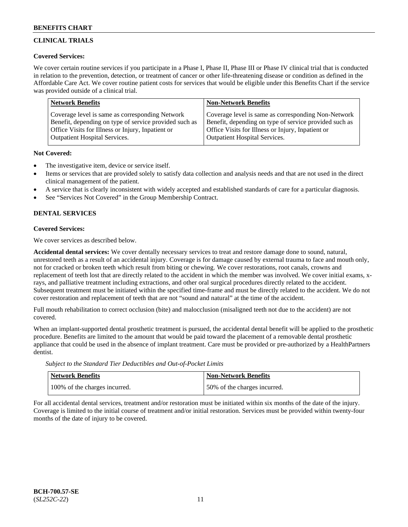# **CLINICAL TRIALS**

### **Covered Services:**

We cover certain routine services if you participate in a Phase I, Phase II, Phase III or Phase IV clinical trial that is conducted in relation to the prevention, detection, or treatment of cancer or other life-threatening disease or condition as defined in the Affordable Care Act. We cover routine patient costs for services that would be eligible under this Benefits Chart if the service was provided outside of a clinical trial.

| <b>Network Benefits</b>                                | <b>Non-Network Benefits</b>                            |
|--------------------------------------------------------|--------------------------------------------------------|
| Coverage level is same as corresponding Network        | Coverage level is same as corresponding Non-Network    |
| Benefit, depending on type of service provided such as | Benefit, depending on type of service provided such as |
| Office Visits for Illness or Injury, Inpatient or      | Office Visits for Illness or Injury, Inpatient or      |
| <b>Outpatient Hospital Services.</b>                   | <b>Outpatient Hospital Services.</b>                   |

### **Not Covered:**

- The investigative item, device or service itself.
- Items or services that are provided solely to satisfy data collection and analysis needs and that are not used in the direct clinical management of the patient.
- A service that is clearly inconsistent with widely accepted and established standards of care for a particular diagnosis.
- See "Services Not Covered" in the Group Membership Contract.

# **DENTAL SERVICES**

# **Covered Services:**

We cover services as described below.

**Accidental dental services:** We cover dentally necessary services to treat and restore damage done to sound, natural, unrestored teeth as a result of an accidental injury. Coverage is for damage caused by external trauma to face and mouth only, not for cracked or broken teeth which result from biting or chewing. We cover restorations, root canals, crowns and replacement of teeth lost that are directly related to the accident in which the member was involved. We cover initial exams, xrays, and palliative treatment including extractions, and other oral surgical procedures directly related to the accident. Subsequent treatment must be initiated within the specified time-frame and must be directly related to the accident. We do not cover restoration and replacement of teeth that are not "sound and natural" at the time of the accident.

Full mouth rehabilitation to correct occlusion (bite) and malocclusion (misaligned teeth not due to the accident) are not covered.

When an implant-supported dental prosthetic treatment is pursued, the accidental dental benefit will be applied to the prosthetic procedure. Benefits are limited to the amount that would be paid toward the placement of a removable dental prosthetic appliance that could be used in the absence of implant treatment. Care must be provided or pre-authorized by a HealthPartners dentist.

*Subject to the Standard Tier Deductibles and Out-of-Pocket Limits*

| <b>Network Benefits</b>       | Non-Network Benefits         |
|-------------------------------|------------------------------|
| 100% of the charges incurred. | 50% of the charges incurred. |

For all accidental dental services, treatment and/or restoration must be initiated within six months of the date of the injury. Coverage is limited to the initial course of treatment and/or initial restoration. Services must be provided within twenty-four months of the date of injury to be covered.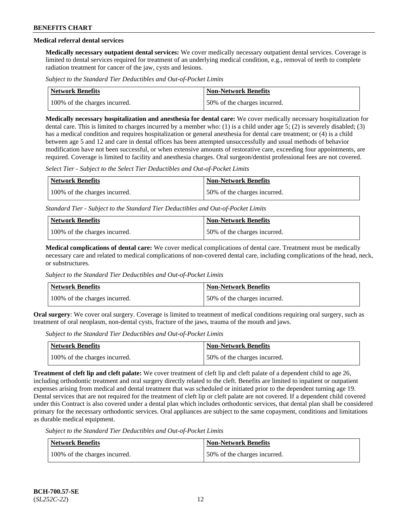# **Medical referral dental services**

**Medically necessary outpatient dental services:** We cover medically necessary outpatient dental services. Coverage is limited to dental services required for treatment of an underlying medical condition, e.g., removal of teeth to complete radiation treatment for cancer of the jaw, cysts and lesions.

*Subject to the Standard Tier Deductibles and Out-of-Pocket Limits*

| Network Benefits              | Non-Network Benefits         |
|-------------------------------|------------------------------|
| 100% of the charges incurred. | 50% of the charges incurred. |

**Medically necessary hospitalization and anesthesia for dental care:** We cover medically necessary hospitalization for dental care. This is limited to charges incurred by a member who: (1) is a child under age 5; (2) is severely disabled; (3) has a medical condition and requires hospitalization or general anesthesia for dental care treatment; or (4) is a child between age 5 and 12 and care in dental offices has been attempted unsuccessfully and usual methods of behavior modification have not been successful, or when extensive amounts of restorative care, exceeding four appointments, are required. Coverage is limited to facility and anesthesia charges. Oral surgeon/dentist professional fees are not covered.

*Select Tier - Subject to the Select Tier Deductibles and Out-of-Pocket Limits*

| <b>Network Benefits</b>       | <b>Non-Network Benefits</b>  |
|-------------------------------|------------------------------|
| 100% of the charges incurred. | 50% of the charges incurred. |

*Standard Tier - Subject to the Standard Tier Deductibles and Out-of-Pocket Limits*

| <b>Network Benefits</b>       | <b>Non-Network Benefits</b>  |
|-------------------------------|------------------------------|
| 100% of the charges incurred. | 50% of the charges incurred. |

**Medical complications of dental care:** We cover medical complications of dental care. Treatment must be medically necessary care and related to medical complications of non-covered dental care, including complications of the head, neck, or substructures.

*Subject to the Standard Tier Deductibles and Out-of-Pocket Limits*

| <b>Network Benefits</b>       | <b>Non-Network Benefits</b>  |
|-------------------------------|------------------------------|
| 100% of the charges incurred. | 50% of the charges incurred. |

**Oral surgery**: We cover oral surgery. Coverage is limited to treatment of medical conditions requiring oral surgery, such as treatment of oral neoplasm, non-dental cysts, fracture of the jaws, trauma of the mouth and jaws.

*Subject to the Standard Tier Deductibles and Out-of-Pocket Limits*

| <b>Network Benefits</b>       | <b>Non-Network Benefits</b>  |
|-------------------------------|------------------------------|
| 100% of the charges incurred. | 50% of the charges incurred. |

**Treatment of cleft lip and cleft palate:** We cover treatment of cleft lip and cleft palate of a dependent child to age 26, including orthodontic treatment and oral surgery directly related to the cleft. Benefits are limited to inpatient or outpatient expenses arising from medical and dental treatment that was scheduled or initiated prior to the dependent turning age 19. Dental services that are not required for the treatment of cleft lip or cleft palate are not covered. If a dependent child covered under this Contract is also covered under a dental plan which includes orthodontic services, that dental plan shall be considered primary for the necessary orthodontic services. Oral appliances are subject to the same copayment, conditions and limitations as durable medical equipment.

*Subject to the Standard Tier Deductibles and Out-of-Pocket Limits*

| <b>Network Benefits</b>       | <b>Non-Network Benefits</b>  |
|-------------------------------|------------------------------|
| 100% of the charges incurred. | 50% of the charges incurred. |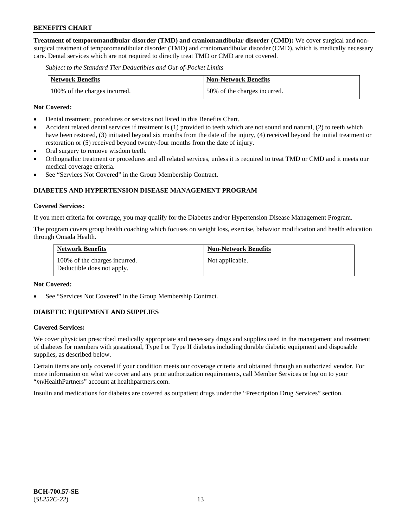**Treatment of temporomandibular disorder (TMD) and craniomandibular disorder (CMD):** We cover surgical and nonsurgical treatment of temporomandibular disorder (TMD) and craniomandibular disorder (CMD), which is medically necessary care. Dental services which are not required to directly treat TMD or CMD are not covered.

*Subject to the Standard Tier Deductibles and Out-of-Pocket Limits*

| <b>Network Benefits</b>       | <b>Non-Network Benefits</b>  |
|-------------------------------|------------------------------|
| 100% of the charges incurred. | 50% of the charges incurred. |

#### **Not Covered:**

- Dental treatment, procedures or services not listed in this Benefits Chart.
- Accident related dental services if treatment is (1) provided to teeth which are not sound and natural, (2) to teeth which have been restored, (3) initiated beyond six months from the date of the injury, (4) received beyond the initial treatment or restoration or (5) received beyond twenty-four months from the date of injury.
- Oral surgery to remove wisdom teeth.
- Orthognathic treatment or procedures and all related services, unless it is required to treat TMD or CMD and it meets our medical coverage criteria.
- See "Services Not Covered" in the Group Membership Contract.

# **DIABETES AND HYPERTENSION DISEASE MANAGEMENT PROGRAM**

#### **Covered Services:**

If you meet criteria for coverage, you may qualify for the Diabetes and/or Hypertension Disease Management Program.

The program covers group health coaching which focuses on weight loss, exercise, behavior modification and health education through Omada Health.

| <b>Network Benefits</b>                                     | <b>Non-Network Benefits</b> |
|-------------------------------------------------------------|-----------------------------|
| 100% of the charges incurred.<br>Deductible does not apply. | Not applicable.             |

#### **Not Covered:**

See "Services Not Covered" in the Group Membership Contract.

### **DIABETIC EQUIPMENT AND SUPPLIES**

### **Covered Services:**

We cover physician prescribed medically appropriate and necessary drugs and supplies used in the management and treatment of diabetes for members with gestational, Type I or Type II diabetes including durable diabetic equipment and disposable supplies, as described below.

Certain items are only covered if your condition meets our coverage criteria and obtained through an authorized vendor. For more information on what we cover and any prior authorization requirements, call Member Services or log on to your "*my*HealthPartners" account at [healthpartners.com.](http://www.healthpartners.com/)

Insulin and medications for diabetes are covered as outpatient drugs under the "Prescription Drug Services" section.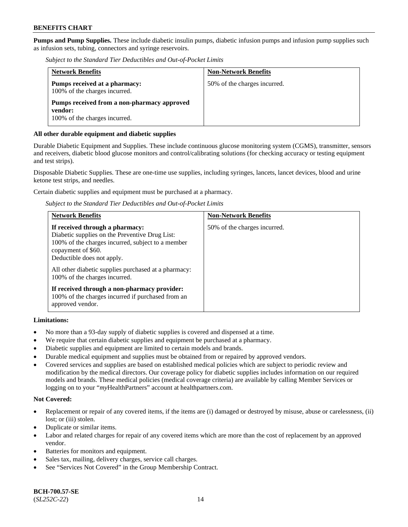**Pumps and Pump Supplies.** These include diabetic insulin pumps, diabetic infusion pumps and infusion pump supplies such as infusion sets, tubing, connectors and syringe reservoirs.

*Subject to the Standard Tier Deductibles and Out-of-Pocket Limits*

| <b>Network Benefits</b>                                                                 | <b>Non-Network Benefits</b>  |
|-----------------------------------------------------------------------------------------|------------------------------|
| Pumps received at a pharmacy:<br>100% of the charges incurred.                          | 50% of the charges incurred. |
| Pumps received from a non-pharmacy approved<br>vendor:<br>100% of the charges incurred. |                              |

### **All other durable equipment and diabetic supplies**

Durable Diabetic Equipment and Supplies. These include continuous glucose monitoring system (CGMS), transmitter, sensors and receivers, diabetic blood glucose monitors and control/calibrating solutions (for checking accuracy or testing equipment and test strips).

Disposable Diabetic Supplies. These are one-time use supplies, including syringes, lancets, lancet devices, blood and urine ketone test strips, and needles.

Certain diabetic supplies and equipment must be purchased at a pharmacy.

*Subject to the Standard Tier Deductibles and Out-of-Pocket Limits*

| <b>Network Benefits</b>                                                                                                                                                                                                                                                             | <b>Non-Network Benefits</b>  |
|-------------------------------------------------------------------------------------------------------------------------------------------------------------------------------------------------------------------------------------------------------------------------------------|------------------------------|
| If received through a pharmacy:<br>Diabetic supplies on the Preventive Drug List:<br>100% of the charges incurred, subject to a member<br>copayment of \$60.<br>Deductible does not apply.<br>All other diabetic supplies purchased at a pharmacy:<br>100% of the charges incurred. | 50% of the charges incurred. |
| If received through a non-pharmacy provider:<br>100% of the charges incurred if purchased from an<br>approved vendor.                                                                                                                                                               |                              |

### **Limitations:**

- No more than a 93-day supply of diabetic supplies is covered and dispensed at a time.
- We require that certain diabetic supplies and equipment be purchased at a pharmacy.
- Diabetic supplies and equipment are limited to certain models and brands.
- Durable medical equipment and supplies must be obtained from or repaired by approved vendors.
- Covered services and supplies are based on established medical policies which are subject to periodic review and modification by the medical directors. Our coverage policy for diabetic supplies includes information on our required models and brands. These medical policies (medical coverage criteria) are available by calling Member Services or logging on to your "*my*HealthPartners" account at [healthpartners.com.](http://www.healthpartners.com/)

### **Not Covered:**

- Replacement or repair of any covered items, if the items are (i) damaged or destroyed by misuse, abuse or carelessness, (ii) lost; or (iii) stolen.
- Duplicate or similar items.
- Labor and related charges for repair of any covered items which are more than the cost of replacement by an approved vendor.
- Batteries for monitors and equipment.
- Sales tax, mailing, delivery charges, service call charges.
- See "Services Not Covered" in the Group Membership Contract.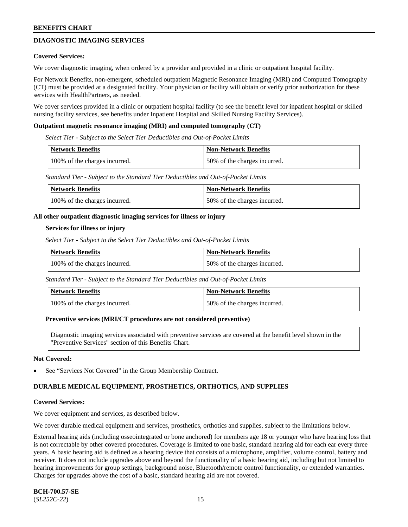# **DIAGNOSTIC IMAGING SERVICES**

#### **Covered Services:**

We cover diagnostic imaging, when ordered by a provider and provided in a clinic or outpatient hospital facility.

For Network Benefits, non-emergent, scheduled outpatient Magnetic Resonance Imaging (MRI) and Computed Tomography (CT) must be provided at a designated facility. Your physician or facility will obtain or verify prior authorization for these services with HealthPartners, as needed.

We cover services provided in a clinic or outpatient hospital facility (to see the benefit level for inpatient hospital or skilled nursing facility services, see benefits under Inpatient Hospital and Skilled Nursing Facility Services).

#### **Outpatient magnetic resonance imaging (MRI) and computed tomography (CT)**

*Select Tier - Subject to the Select Tier Deductibles and Out-of-Pocket Limits*

| Network Benefits              | <b>Non-Network Benefits</b>  |
|-------------------------------|------------------------------|
| 100% of the charges incurred. | 50% of the charges incurred. |

*Standard Tier - Subject to the Standard Tier Deductibles and Out-of-Pocket Limits*

| Network Benefits              | <b>Non-Network Benefits</b>  |
|-------------------------------|------------------------------|
| 100% of the charges incurred. | 50% of the charges incurred. |

#### **All other outpatient diagnostic imaging services for illness or injury**

#### **Services for illness or injury**

*Select Tier - Subject to the Select Tier Deductibles and Out-of-Pocket Limits*

| <b>Network Benefits</b>       | <b>Non-Network Benefits</b>  |
|-------------------------------|------------------------------|
| 100% of the charges incurred. | 50% of the charges incurred. |

*Standard Tier - Subject to the Standard Tier Deductibles and Out-of-Pocket Limits*

| <b>Network Benefits</b>       | <b>Non-Network Benefits</b>  |
|-------------------------------|------------------------------|
| 100% of the charges incurred. | 50% of the charges incurred. |

#### **Preventive services (MRI/CT procedures are not considered preventive)**

Diagnostic imaging services associated with preventive services are covered at the benefit level shown in the "Preventive Services" section of this Benefits Chart.

#### **Not Covered:**

See "Services Not Covered" in the Group Membership Contract.

### **DURABLE MEDICAL EQUIPMENT, PROSTHETICS, ORTHOTICS, AND SUPPLIES**

#### **Covered Services:**

We cover equipment and services, as described below.

We cover durable medical equipment and services, prosthetics, orthotics and supplies, subject to the limitations below.

External hearing aids (including osseointegrated or bone anchored) for members age 18 or younger who have hearing loss that is not correctable by other covered procedures. Coverage is limited to one basic, standard hearing aid for each ear every three years. A basic hearing aid is defined as a hearing device that consists of a microphone, amplifier, volume control, battery and receiver. It does not include upgrades above and beyond the functionality of a basic hearing aid, including but not limited to hearing improvements for group settings, background noise, Bluetooth/remote control functionality, or extended warranties. Charges for upgrades above the cost of a basic, standard hearing aid are not covered.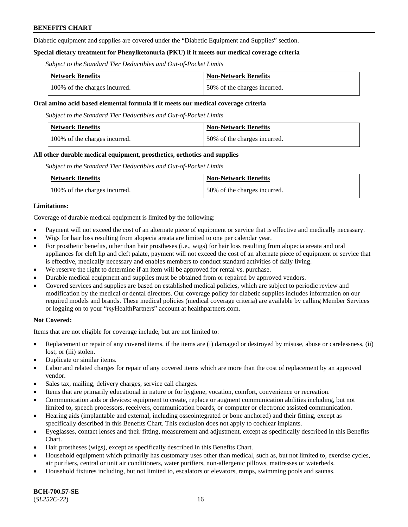Diabetic equipment and supplies are covered under the "Diabetic Equipment and Supplies" section.

### **Special dietary treatment for Phenylketonuria (PKU) if it meets our medical coverage criteria**

*Subject to the Standard Tier Deductibles and Out-of-Pocket Limits*

| <b>Network Benefits</b>       | <b>Non-Network Benefits</b>  |
|-------------------------------|------------------------------|
| 100% of the charges incurred. | 50% of the charges incurred. |

#### **Oral amino acid based elemental formula if it meets our medical coverage criteria**

*Subject to the Standard Tier Deductibles and Out-of-Pocket Limits*

| <b>Network Benefits</b>       | <b>Non-Network Benefits</b>  |
|-------------------------------|------------------------------|
| 100% of the charges incurred. | 50% of the charges incurred. |

#### **All other durable medical equipment, prosthetics, orthotics and supplies**

*Subject to the Standard Tier Deductibles and Out-of-Pocket Limits*

| <b>Network Benefits</b>       | Non-Network Benefits         |
|-------------------------------|------------------------------|
| 100% of the charges incurred. | 50% of the charges incurred. |

#### **Limitations:**

Coverage of durable medical equipment is limited by the following:

- Payment will not exceed the cost of an alternate piece of equipment or service that is effective and medically necessary.
- Wigs for hair loss resulting from alopecia areata are limited to one per calendar year.
- For prosthetic benefits, other than hair prostheses (i.e., wigs) for hair loss resulting from alopecia areata and oral appliances for cleft lip and cleft palate, payment will not exceed the cost of an alternate piece of equipment or service that is effective, medically necessary and enables members to conduct standard activities of daily living.
- We reserve the right to determine if an item will be approved for rental vs. purchase.
- Durable medical equipment and supplies must be obtained from or repaired by approved vendors.
- Covered services and supplies are based on established medical policies, which are subject to periodic review and modification by the medical or dental directors. Our coverage policy for diabetic supplies includes information on our required models and brands. These medical policies (medical coverage criteria) are available by calling Member Services or logging on to your "*my*HealthPartners" account a[t healthpartners.com.](https://www.healthpartners.com/hp/index.html)

### **Not Covered:**

Items that are not eligible for coverage include, but are not limited to:

- Replacement or repair of any covered items, if the items are (i) damaged or destroyed by misuse, abuse or carelessness, (ii) lost; or (iii) stolen.
- Duplicate or similar items.
- Labor and related charges for repair of any covered items which are more than the cost of replacement by an approved vendor.
- Sales tax, mailing, delivery charges, service call charges.
- Items that are primarily educational in nature or for hygiene, vocation, comfort, convenience or recreation.
- Communication aids or devices: equipment to create, replace or augment communication abilities including, but not limited to, speech processors, receivers, communication boards, or computer or electronic assisted communication.
- Hearing aids (implantable and external, including osseointegrated or bone anchored) and their fitting, except as specifically described in this Benefits Chart. This exclusion does not apply to cochlear implants.
- Eyeglasses, contact lenses and their fitting, measurement and adjustment, except as specifically described in this Benefits Chart.
- Hair prostheses (wigs), except as specifically described in this Benefits Chart.
- Household equipment which primarily has customary uses other than medical, such as, but not limited to, exercise cycles, air purifiers, central or unit air conditioners, water purifiers, non-allergenic pillows, mattresses or waterbeds.
- Household fixtures including, but not limited to, escalators or elevators, ramps, swimming pools and saunas.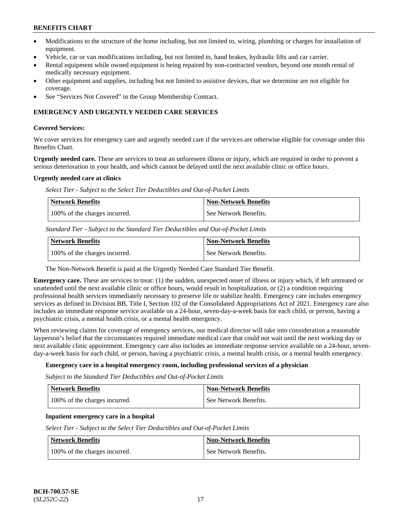- Modifications to the structure of the home including, but not limited to, wiring, plumbing or charges for installation of equipment.
- Vehicle, car or van modifications including, but not limited to, hand brakes, hydraulic lifts and car carrier.
- Rental equipment while owned equipment is being repaired by non-contracted vendors, beyond one month rental of medically necessary equipment.
- Other equipment and supplies, including but not limited to assistive devices, that we determine are not eligible for coverage.
- See "Services Not Covered" in the Group Membership Contract.

### **EMERGENCY AND URGENTLY NEEDED CARE SERVICES**

#### **Covered Services:**

We cover services for emergency care and urgently needed care if the services are otherwise eligible for coverage under this Benefits Chart.

**Urgently needed care.** These are services to treat an unforeseen illness or injury, which are required in order to prevent a serious deterioration in your health, and which cannot be delayed until the next available clinic or office hours.

#### **Urgently needed care at clinics**

*Select Tier - Subject to the Select Tier Deductibles and Out-of-Pocket Limits*

| <b>Network Benefits</b>       | <b>Non-Network Benefits</b> |
|-------------------------------|-----------------------------|
| 100% of the charges incurred. | l See Network Benefits.     |

*Standard Tier - Subject to the Standard Tier Deductibles and Out-of-Pocket Limits*

| Network Benefits              | <b>Non-Network Benefits</b> |
|-------------------------------|-----------------------------|
| 100% of the charges incurred. | See Network Benefits.       |

The Non-Network Benefit is paid at the Urgently Needed Care Standard Tier Benefit.

**Emergency care.** These are services to treat: (1) the sudden, unexpected onset of illness or injury which, if left untreated or unattended until the next available clinic or office hours, would result in hospitalization, or (2) a condition requiring professional health services immediately necessary to preserve life or stabilize health. Emergency care includes emergency services as defined in Division BB, Title I, Section 102 of the Consolidated Appropriations Act of 2021. Emergency care also includes an immediate response service available on a 24-hour, seven-day-a-week basis for each child, or person, having a psychiatric crisis, a mental health crisis, or a mental health emergency.

When reviewing claims for coverage of emergency services, our medical director will take into consideration a reasonable layperson's belief that the circumstances required immediate medical care that could not wait until the next working day or next available clinic appointment. Emergency care also includes an immediate response service available on a 24-hour, sevenday-a-week basis for each child, or person, having a psychiatric crisis, a mental health crisis, or a mental health emergency.

### **Emergency care in a hospital emergency room, including professional services of a physician**

*Subject to the Standard Tier Deductibles and Out-of-Pocket Limits*

| <b>Network Benefits</b>       | Non-Network Benefits  |
|-------------------------------|-----------------------|
| 100% of the charges incurred. | See Network Benefits. |

### **Inpatient emergency care in a hospital**

*Select Tier - Subject to the Select Tier Deductibles and Out-of-Pocket Limits*

| Network Benefits              | <b>Non-Network Benefits</b> |
|-------------------------------|-----------------------------|
| 100% of the charges incurred. | See Network Benefits.       |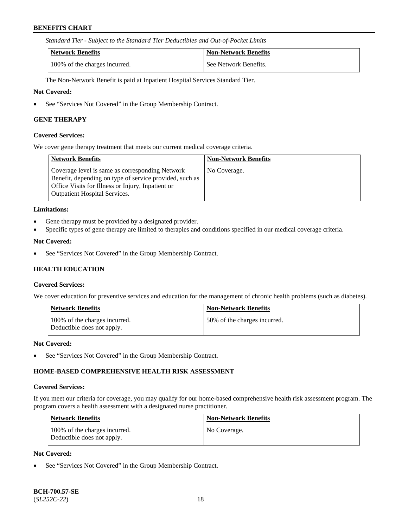*Standard Tier - Subject to the Standard Tier Deductibles and Out-of-Pocket Limits*

| Network Benefits              | <b>Non-Network Benefits</b> |
|-------------------------------|-----------------------------|
| 100% of the charges incurred. | See Network Benefits.       |

The Non-Network Benefit is paid at Inpatient Hospital Services Standard Tier.

#### **Not Covered:**

• See "Services Not Covered" in the Group Membership Contract.

#### **GENE THERAPY**

#### **Covered Services:**

We cover gene therapy treatment that meets our current medical coverage criteria.

| Network Benefits                                                                                                                                                                                        | <b>Non-Network Benefits</b> |
|---------------------------------------------------------------------------------------------------------------------------------------------------------------------------------------------------------|-----------------------------|
| Coverage level is same as corresponding Network<br>Benefit, depending on type of service provided, such as<br>Office Visits for Illness or Injury, Inpatient or<br><b>Outpatient Hospital Services.</b> | No Coverage.                |

#### **Limitations:**

- Gene therapy must be provided by a designated provider.
- Specific types of gene therapy are limited to therapies and conditions specified in our medical coverage criteria.

### **Not Covered:**

• See "Services Not Covered" in the Group Membership Contract.

### **HEALTH EDUCATION**

#### **Covered Services:**

We cover education for preventive services and education for the management of chronic health problems (such as diabetes).

| <b>Network Benefits</b>                                     | <b>Non-Network Benefits</b>  |
|-------------------------------------------------------------|------------------------------|
| 100% of the charges incurred.<br>Deductible does not apply. | 50% of the charges incurred. |

#### **Not Covered:**

See "Services Not Covered" in the Group Membership Contract.

### **HOME-BASED COMPREHENSIVE HEALTH RISK ASSESSMENT**

#### **Covered Services:**

If you meet our criteria for coverage, you may qualify for our home-based comprehensive health risk assessment program. The program covers a health assessment with a designated nurse practitioner.

| <b>Network Benefits</b>                                     | <b>Non-Network Benefits</b> |
|-------------------------------------------------------------|-----------------------------|
| 100% of the charges incurred.<br>Deductible does not apply. | No Coverage.                |

#### **Not Covered:**

See "Services Not Covered" in the Group Membership Contract.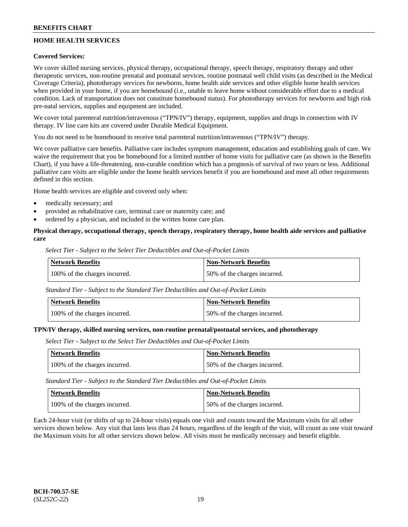# **HOME HEALTH SERVICES**

### **Covered Services:**

We cover skilled nursing services, physical therapy, occupational therapy, speech therapy, respiratory therapy and other therapeutic services, non-routine prenatal and postnatal services, routine postnatal well child visits (as described in the Medical Coverage Criteria), phototherapy services for newborns, home health aide services and other eligible home health services when provided in your home, if you are homebound (i.e., unable to leave home without considerable effort due to a medical condition. Lack of transportation does not constitute homebound status). For phototherapy services for newborns and high risk pre-natal services, supplies and equipment are included.

We cover total parenteral nutrition/intravenous ("TPN/IV") therapy, equipment, supplies and drugs in connection with IV therapy. IV line care kits are covered under Durable Medical Equipment.

You do not need to be homebound to receive total parenteral nutrition/intravenous ("TPN/IV") therapy.

We cover palliative care benefits. Palliative care includes symptom management, education and establishing goals of care. We waive the requirement that you be homebound for a limited number of home visits for palliative care (as shown in the Benefits Chart), if you have a life-threatening, non-curable condition which has a prognosis of survival of two years or less. Additional palliative care visits are eligible under the home health services benefit if you are homebound and meet all other requirements defined in this section.

Home health services are eligible and covered only when:

- medically necessary; and
- provided as rehabilitative care, terminal care or maternity care; and
- ordered by a physician, and included in the written home care plan.

### **Physical therapy, occupational therapy, speech therapy, respiratory therapy, home health aide services and palliative care**

*Select Tier - Subject to the Select Tier Deductibles and Out-of-Pocket Limits*

| Network Benefits              | <b>Non-Network Benefits</b>  |
|-------------------------------|------------------------------|
| 100% of the charges incurred. | 50% of the charges incurred. |

*Standard Tier - Subject to the Standard Tier Deductibles and Out-of-Pocket Limits*

| <b>Network Benefits</b>       | Non-Network Benefits         |
|-------------------------------|------------------------------|
| 100% of the charges incurred. | 50% of the charges incurred. |

#### **TPN/IV therapy, skilled nursing services, non-routine prenatal/postnatal services, and phototherapy**

*Select Tier - Subject to the Select Tier Deductibles and Out-of-Pocket Limits*

| Network Benefits              | <b>Non-Network Benefits</b>  |
|-------------------------------|------------------------------|
| 100% of the charges incurred. | 50% of the charges incurred. |

*Standard Tier - Subject to the Standard Tier Deductibles and Out-of-Pocket Limits*

| Network Benefits              | <b>Non-Network Benefits</b>  |
|-------------------------------|------------------------------|
| 100% of the charges incurred. | 50% of the charges incurred. |

Each 24-hour visit (or shifts of up to 24-hour visits) equals one visit and counts toward the Maximum visits for all other services shown below. Any visit that lasts less than 24 hours, regardless of the length of the visit, will count as one visit toward the Maximum visits for all other services shown below. All visits must be medically necessary and benefit eligible.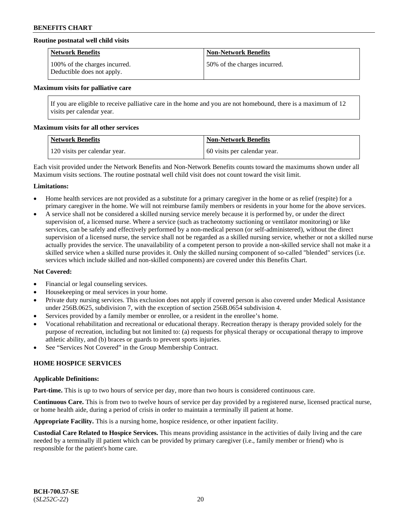### **Routine postnatal well child visits**

| <b>Network Benefits</b>                                     | <b>Non-Network Benefits</b>  |
|-------------------------------------------------------------|------------------------------|
| 100% of the charges incurred.<br>Deductible does not apply. | 50% of the charges incurred. |

#### **Maximum visits for palliative care**

If you are eligible to receive palliative care in the home and you are not homebound, there is a maximum of 12 visits per calendar year.

#### **Maximum visits for all other services**

| Network Benefits              | <b>Non-Network Benefits</b>  |
|-------------------------------|------------------------------|
| 120 visits per calendar year. | 60 visits per calendar year. |

Each visit provided under the Network Benefits and Non-Network Benefits counts toward the maximums shown under all Maximum visits sections. The routine postnatal well child visit does not count toward the visit limit.

#### **Limitations:**

- Home health services are not provided as a substitute for a primary caregiver in the home or as relief (respite) for a primary caregiver in the home. We will not reimburse family members or residents in your home for the above services.
- A service shall not be considered a skilled nursing service merely because it is performed by, or under the direct supervision of, a licensed nurse. Where a service (such as tracheotomy suctioning or ventilator monitoring) or like services, can be safely and effectively performed by a non-medical person (or self-administered), without the direct supervision of a licensed nurse, the service shall not be regarded as a skilled nursing service, whether or not a skilled nurse actually provides the service. The unavailability of a competent person to provide a non-skilled service shall not make it a skilled service when a skilled nurse provides it. Only the skilled nursing component of so-called "blended" services (i.e. services which include skilled and non-skilled components) are covered under this Benefits Chart.

### **Not Covered:**

- Financial or legal counseling services.
- Housekeeping or meal services in your home.
- Private duty nursing services. This exclusion does not apply if covered person is also covered under Medical Assistance under 256B.0625, subdivision 7, with the exception of section 256B.0654 subdivision 4.
- Services provided by a family member or enrollee, or a resident in the enrollee's home.
- Vocational rehabilitation and recreational or educational therapy. Recreation therapy is therapy provided solely for the purpose of recreation, including but not limited to: (a) requests for physical therapy or occupational therapy to improve athletic ability, and (b) braces or guards to prevent sports injuries.
- See "Services Not Covered" in the Group Membership Contract.

### **HOME HOSPICE SERVICES**

#### **Applicable Definitions:**

**Part-time.** This is up to two hours of service per day, more than two hours is considered continuous care.

**Continuous Care.** This is from two to twelve hours of service per day provided by a registered nurse, licensed practical nurse, or home health aide, during a period of crisis in order to maintain a terminally ill patient at home.

**Appropriate Facility.** This is a nursing home, hospice residence, or other inpatient facility.

**Custodial Care Related to Hospice Services.** This means providing assistance in the activities of daily living and the care needed by a terminally ill patient which can be provided by primary caregiver (i.e., family member or friend) who is responsible for the patient's home care.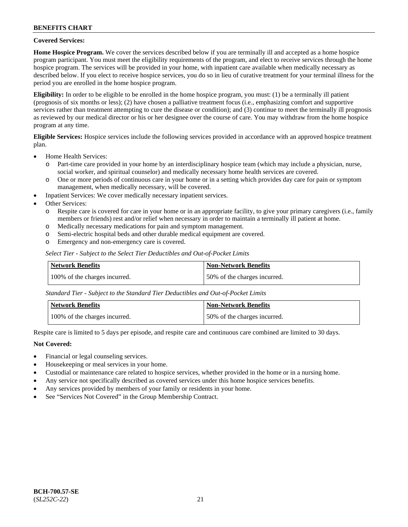### **Covered Services:**

**Home Hospice Program.** We cover the services described below if you are terminally ill and accepted as a home hospice program participant. You must meet the eligibility requirements of the program, and elect to receive services through the home hospice program. The services will be provided in your home, with inpatient care available when medically necessary as described below. If you elect to receive hospice services, you do so in lieu of curative treatment for your terminal illness for the period you are enrolled in the home hospice program.

**Eligibility:** In order to be eligible to be enrolled in the home hospice program, you must: (1) be a terminally ill patient (prognosis of six months or less); (2) have chosen a palliative treatment focus (i.e., emphasizing comfort and supportive services rather than treatment attempting to cure the disease or condition); and (3) continue to meet the terminally ill prognosis as reviewed by our medical director or his or her designee over the course of care. You may withdraw from the home hospice program at any time.

**Eligible Services:** Hospice services include the following services provided in accordance with an approved hospice treatment plan.

- Home Health Services:
	- o Part-time care provided in your home by an interdisciplinary hospice team (which may include a physician, nurse, social worker, and spiritual counselor) and medically necessary home health services are covered.
	- o One or more periods of continuous care in your home or in a setting which provides day care for pain or symptom management, when medically necessary, will be covered.
	- Inpatient Services: We cover medically necessary inpatient services.
- Other Services:
	- o Respite care is covered for care in your home or in an appropriate facility, to give your primary caregivers (i.e., family members or friends) rest and/or relief when necessary in order to maintain a terminally ill patient at home.
	- o Medically necessary medications for pain and symptom management.
	- Semi-electric hospital beds and other durable medical equipment are covered.
	- o Emergency and non-emergency care is covered.

*Select Tier - Subject to the Select Tier Deductibles and Out-of-Pocket Limits*

| Network Benefits              | Non-Network Benefits         |
|-------------------------------|------------------------------|
| 100% of the charges incurred. | 50% of the charges incurred. |

*Standard Tier - Subject to the Standard Tier Deductibles and Out-of-Pocket Limits*

| <b>Network Benefits</b>       | <b>Non-Network Benefits</b>  |
|-------------------------------|------------------------------|
| 100% of the charges incurred. | 50% of the charges incurred. |

Respite care is limited to 5 days per episode, and respite care and continuous care combined are limited to 30 days.

### **Not Covered:**

- Financial or legal counseling services.
- Housekeeping or meal services in your home.
- Custodial or maintenance care related to hospice services, whether provided in the home or in a nursing home.
- Any service not specifically described as covered services under this home hospice services benefits.
- Any services provided by members of your family or residents in your home.
- See "Services Not Covered" in the Group Membership Contract.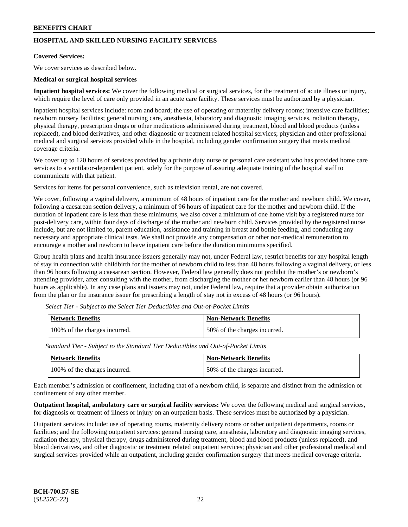# **HOSPITAL AND SKILLED NURSING FACILITY SERVICES**

#### **Covered Services:**

We cover services as described below.

#### **Medical or surgical hospital services**

**Inpatient hospital services:** We cover the following medical or surgical services, for the treatment of acute illness or injury, which require the level of care only provided in an acute care facility. These services must be authorized by a physician.

Inpatient hospital services include: room and board; the use of operating or maternity delivery rooms; intensive care facilities; newborn nursery facilities; general nursing care, anesthesia, laboratory and diagnostic imaging services, radiation therapy, physical therapy, prescription drugs or other medications administered during treatment, blood and blood products (unless replaced), and blood derivatives, and other diagnostic or treatment related hospital services; physician and other professional medical and surgical services provided while in the hospital, including gender confirmation surgery that meets medical coverage criteria.

We cover up to 120 hours of services provided by a private duty nurse or personal care assistant who has provided home care services to a ventilator-dependent patient, solely for the purpose of assuring adequate training of the hospital staff to communicate with that patient.

Services for items for personal convenience, such as television rental, are not covered.

We cover, following a vaginal delivery, a minimum of 48 hours of inpatient care for the mother and newborn child. We cover, following a caesarean section delivery, a minimum of 96 hours of inpatient care for the mother and newborn child. If the duration of inpatient care is less than these minimums, we also cover a minimum of one home visit by a registered nurse for post-delivery care, within four days of discharge of the mother and newborn child. Services provided by the registered nurse include, but are not limited to, parent education, assistance and training in breast and bottle feeding, and conducting any necessary and appropriate clinical tests. We shall not provide any compensation or other non-medical remuneration to encourage a mother and newborn to leave inpatient care before the duration minimums specified.

Group health plans and health insurance issuers generally may not, under Federal law, restrict benefits for any hospital length of stay in connection with childbirth for the mother of newborn child to less than 48 hours following a vaginal delivery, or less than 96 hours following a caesarean section. However, Federal law generally does not prohibit the mother's or newborn's attending provider, after consulting with the mother, from discharging the mother or her newborn earlier than 48 hours (or 96 hours as applicable). In any case plans and issuers may not, under Federal law, require that a provider obtain authorization from the plan or the insurance issuer for prescribing a length of stay not in excess of 48 hours (or 96 hours).

| Network Benefits              | Non-Network Benefits         |
|-------------------------------|------------------------------|
| 100% of the charges incurred. | 50% of the charges incurred. |

*Select Tier - Subject to the Select Tier Deductibles and Out-of-Pocket Limits*

*Standard Tier - Subject to the Standard Tier Deductibles and Out-of-Pocket Limits*

| Network Benefits              | <b>Non-Network Benefits</b>  |
|-------------------------------|------------------------------|
| 100% of the charges incurred. | 50% of the charges incurred. |

Each member's admission or confinement, including that of a newborn child, is separate and distinct from the admission or confinement of any other member.

**Outpatient hospital, ambulatory care or surgical facility services:** We cover the following medical and surgical services, for diagnosis or treatment of illness or injury on an outpatient basis. These services must be authorized by a physician.

Outpatient services include: use of operating rooms, maternity delivery rooms or other outpatient departments, rooms or facilities; and the following outpatient services: general nursing care, anesthesia, laboratory and diagnostic imaging services, radiation therapy, physical therapy, drugs administered during treatment, blood and blood products (unless replaced), and blood derivatives, and other diagnostic or treatment related outpatient services; physician and other professional medical and surgical services provided while an outpatient, including gender confirmation surgery that meets medical coverage criteria.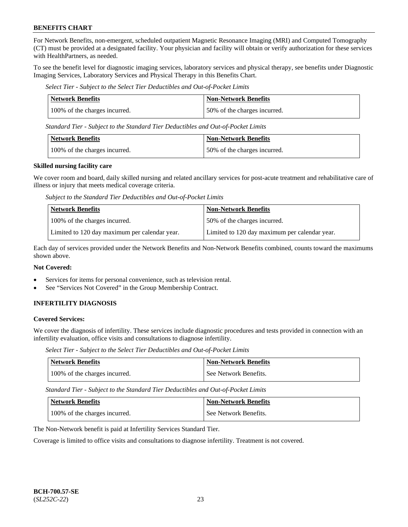For Network Benefits, non-emergent, scheduled outpatient Magnetic Resonance Imaging (MRI) and Computed Tomography (CT) must be provided at a designated facility. Your physician and facility will obtain or verify authorization for these services with HealthPartners, as needed.

To see the benefit level for diagnostic imaging services, laboratory services and physical therapy, see benefits under Diagnostic Imaging Services, Laboratory Services and Physical Therapy in this Benefits Chart.

*Select Tier - Subject to the Select Tier Deductibles and Out-of-Pocket Limits*

| <b>Network Benefits</b>       | <b>Non-Network Benefits</b>  |
|-------------------------------|------------------------------|
| 100% of the charges incurred. | 50% of the charges incurred. |

*Standard Tier - Subject to the Standard Tier Deductibles and Out-of-Pocket Limits*

| Network Benefits              | Non-Network Benefits         |
|-------------------------------|------------------------------|
| 100% of the charges incurred. | 50% of the charges incurred. |

#### **Skilled nursing facility care**

We cover room and board, daily skilled nursing and related ancillary services for post-acute treatment and rehabilitative care of illness or injury that meets medical coverage criteria.

*Subject to the Standard Tier Deductibles and Out-of-Pocket Limits*

| <b>Network Benefits</b>                       | <b>Non-Network Benefits</b>                   |
|-----------------------------------------------|-----------------------------------------------|
| 100% of the charges incurred.                 | 50% of the charges incurred.                  |
| Limited to 120 day maximum per calendar year. | Limited to 120 day maximum per calendar year. |

Each day of services provided under the Network Benefits and Non-Network Benefits combined, counts toward the maximums shown above.

### **Not Covered:**

- Services for items for personal convenience, such as television rental.
- See "Services Not Covered" in the Group Membership Contract.

### **INFERTILITY DIAGNOSIS**

#### **Covered Services:**

We cover the diagnosis of infertility. These services include diagnostic procedures and tests provided in connection with an infertility evaluation, office visits and consultations to diagnose infertility.

*Select Tier - Subject to the Select Tier Deductibles and Out-of-Pocket Limits*

| <b>Network Benefits</b>       | <b>Non-Network Benefits</b> |
|-------------------------------|-----------------------------|
| 100% of the charges incurred. | See Network Benefits.       |

*Standard Tier - Subject to the Standard Tier Deductibles and Out-of-Pocket Limits*

| <b>Network Benefits</b>       | <b>Non-Network Benefits</b> |
|-------------------------------|-----------------------------|
| 100% of the charges incurred. | See Network Benefits.       |

The Non-Network benefit is paid at Infertility Services Standard Tier.

Coverage is limited to office visits and consultations to diagnose infertility. Treatment is not covered.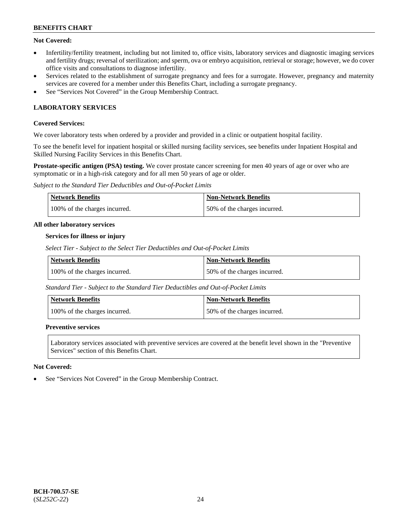## **Not Covered:**

- Infertility/fertility treatment, including but not limited to, office visits, laboratory services and diagnostic imaging services and fertility drugs; reversal of sterilization; and sperm, ova or embryo acquisition, retrieval or storage; however, we do cover office visits and consultations to diagnose infertility.
- Services related to the establishment of surrogate pregnancy and fees for a surrogate. However, pregnancy and maternity services are covered for a member under this Benefits Chart, including a surrogate pregnancy.
- See "Services Not Covered" in the Group Membership Contract.

# **LABORATORY SERVICES**

### **Covered Services:**

We cover laboratory tests when ordered by a provider and provided in a clinic or outpatient hospital facility.

To see the benefit level for inpatient hospital or skilled nursing facility services, see benefits under Inpatient Hospital and Skilled Nursing Facility Services in this Benefits Chart.

**Prostate-specific antigen (PSA) testing.** We cover prostate cancer screening for men 40 years of age or over who are symptomatic or in a high-risk category and for all men 50 years of age or older.

*Subject to the Standard Tier Deductibles and Out-of-Pocket Limits*

| <b>Network Benefits</b>       | <b>Non-Network Benefits</b>  |
|-------------------------------|------------------------------|
| 100% of the charges incurred. | 50% of the charges incurred. |

#### **All other laboratory services**

#### **Services for illness or injury**

*Select Tier - Subject to the Select Tier Deductibles and Out-of-Pocket Limits*

| <b>Network Benefits</b>       | <b>Non-Network Benefits</b>  |
|-------------------------------|------------------------------|
| 100% of the charges incurred. | 50% of the charges incurred. |

*Standard Tier - Subject to the Standard Tier Deductibles and Out-of-Pocket Limits*

| Network Benefits              | <b>Non-Network Benefits</b>  |
|-------------------------------|------------------------------|
| 100% of the charges incurred. | 50% of the charges incurred. |

### **Preventive services**

Laboratory services associated with preventive services are covered at the benefit level shown in the "Preventive Services" section of this Benefits Chart.

### **Not Covered:**

See "Services Not Covered" in the Group Membership Contract.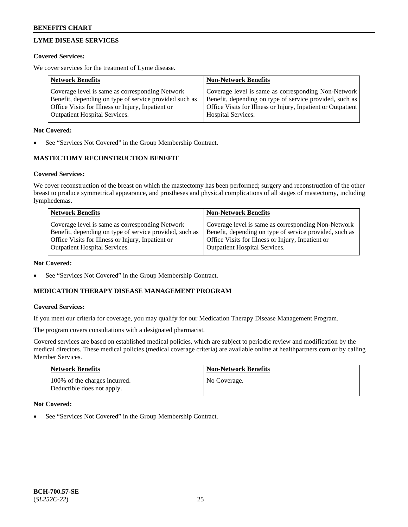# **LYME DISEASE SERVICES**

### **Covered Services:**

We cover services for the treatment of Lyme disease.

| <b>Network Benefits</b>                                | <b>Non-Network Benefits</b>                                  |
|--------------------------------------------------------|--------------------------------------------------------------|
| Coverage level is same as corresponding Network        | Coverage level is same as corresponding Non-Network          |
| Benefit, depending on type of service provided such as | Benefit, depending on type of service provided, such as      |
| Office Visits for Illness or Injury, Inpatient or      | Office Visits for Illness or Injury, Inpatient or Outpatient |
| <b>Outpatient Hospital Services.</b>                   | Hospital Services.                                           |

### **Not Covered:**

See "Services Not Covered" in the Group Membership Contract.

# **MASTECTOMY RECONSTRUCTION BENEFIT**

# **Covered Services:**

We cover reconstruction of the breast on which the mastectomy has been performed; surgery and reconstruction of the other breast to produce symmetrical appearance, and prostheses and physical complications of all stages of mastectomy, including lymphedemas.

| <b>Network Benefits</b>                                 | <b>Non-Network Benefits</b>                             |
|---------------------------------------------------------|---------------------------------------------------------|
| Coverage level is same as corresponding Network         | Coverage level is same as corresponding Non-Network     |
| Benefit, depending on type of service provided, such as | Benefit, depending on type of service provided, such as |
| Office Visits for Illness or Injury, Inpatient or       | Office Visits for Illness or Injury, Inpatient or       |
| <b>Outpatient Hospital Services.</b>                    | <b>Outpatient Hospital Services.</b>                    |

### **Not Covered:**

See "Services Not Covered" in the Group Membership Contract.

# **MEDICATION THERAPY DISEASE MANAGEMENT PROGRAM**

### **Covered Services:**

If you meet our criteria for coverage, you may qualify for our Medication Therapy Disease Management Program.

The program covers consultations with a designated pharmacist.

Covered services are based on established medical policies, which are subject to periodic review and modification by the medical directors. These medical policies (medical coverage criteria) are available online at [healthpartners.com](https://www.healthpartners.com/hp/index.html) or by calling Member Services.

| <b>Network Benefits</b>                                     | <b>Non-Network Benefits</b> |
|-------------------------------------------------------------|-----------------------------|
| 100% of the charges incurred.<br>Deductible does not apply. | No Coverage.                |

### **Not Covered:**

See "Services Not Covered" in the Group Membership Contract.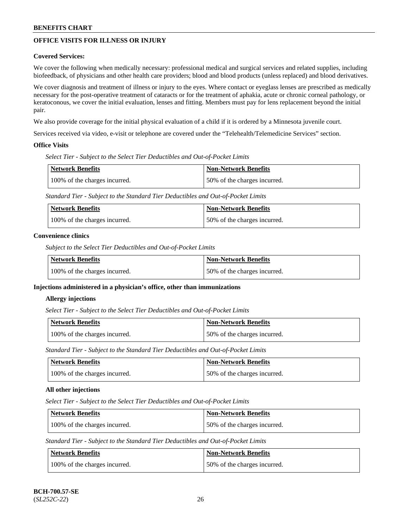# **OFFICE VISITS FOR ILLNESS OR INJURY**

### **Covered Services:**

We cover the following when medically necessary: professional medical and surgical services and related supplies, including biofeedback, of physicians and other health care providers; blood and blood products (unless replaced) and blood derivatives.

We cover diagnosis and treatment of illness or injury to the eyes. Where contact or eyeglass lenses are prescribed as medically necessary for the post-operative treatment of cataracts or for the treatment of aphakia, acute or chronic corneal pathology, or keratoconous, we cover the initial evaluation, lenses and fitting. Members must pay for lens replacement beyond the initial pair.

We also provide coverage for the initial physical evaluation of a child if it is ordered by a Minnesota juvenile court.

Services received via video, e-visit or telephone are covered under the "Telehealth/Telemedicine Services" section.

#### **Office Visits**

*Select Tier - Subject to the Select Tier Deductibles and Out-of-Pocket Limits*

| Network Benefits              | <b>Non-Network Benefits</b>  |
|-------------------------------|------------------------------|
| 100% of the charges incurred. | 50% of the charges incurred. |

*Standard Tier - Subject to the Standard Tier Deductibles and Out-of-Pocket Limits*

| <b>Network Benefits</b>       | <b>Non-Network Benefits</b>  |
|-------------------------------|------------------------------|
| 100% of the charges incurred. | 50% of the charges incurred. |

#### **Convenience clinics**

*Subject to the Select Tier Deductibles and Out-of-Pocket Limits*

| Network Benefits              | <b>Non-Network Benefits</b>  |
|-------------------------------|------------------------------|
| 100% of the charges incurred. | 50% of the charges incurred. |

### **Injections administered in a physician's office, other than immunizations**

#### **Allergy injections**

*Select Tier - Subject to the Select Tier Deductibles and Out-of-Pocket Limits*

| Network Benefits              | <b>Non-Network Benefits</b>  |
|-------------------------------|------------------------------|
| 100% of the charges incurred. | 50% of the charges incurred. |

*Standard Tier - Subject to the Standard Tier Deductibles and Out-of-Pocket Limits*

| Network Benefits              | <b>Non-Network Benefits</b>  |
|-------------------------------|------------------------------|
| 100% of the charges incurred. | 50% of the charges incurred. |

### **All other injections**

*Select Tier - Subject to the Select Tier Deductibles and Out-of-Pocket Limits*

| Network Benefits              | Non-Network Benefits         |
|-------------------------------|------------------------------|
| 100% of the charges incurred. | 50% of the charges incurred. |

*Standard Tier - Subject to the Standard Tier Deductibles and Out-of-Pocket Limits*

| Network Benefits              | <b>Non-Network Benefits</b>  |
|-------------------------------|------------------------------|
| 100% of the charges incurred. | 50% of the charges incurred. |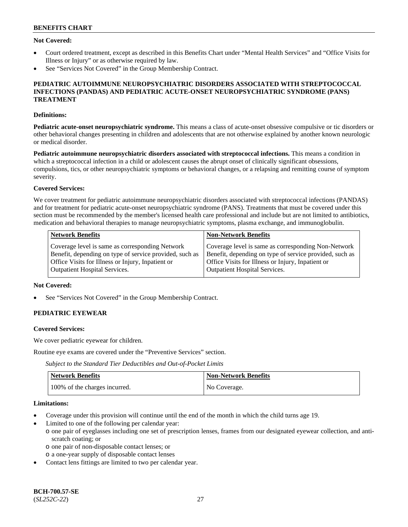### **Not Covered:**

- Court ordered treatment, except as described in this Benefits Chart under "Mental Health Services" and "Office Visits for Illness or Injury" or as otherwise required by law.
- See "Services Not Covered" in the Group Membership Contract.

#### **PEDIATRIC AUTOIMMUNE NEUROPSYCHIATRIC DISORDERS ASSOCIATED WITH STREPTOCOCCAL INFECTIONS (PANDAS) AND PEDIATRIC ACUTE-ONSET NEUROPSYCHIATRIC SYNDROME (PANS) TREATMENT**

#### **Definitions:**

**Pediatric acute-onset neuropsychiatric syndrome.** This means a class of acute-onset obsessive compulsive or tic disorders or other behavioral changes presenting in children and adolescents that are not otherwise explained by another known neurologic or medical disorder.

**Pediatric autoimmune neuropsychiatric disorders associated with streptococcal infections.** This means a condition in which a streptococcal infection in a child or adolescent causes the abrupt onset of clinically significant obsessions, compulsions, tics, or other neuropsychiatric symptoms or behavioral changes, or a relapsing and remitting course of symptom severity.

#### **Covered Services:**

We cover treatment for pediatric autoimmune neuropsychiatric disorders associated with streptococcal infections (PANDAS) and for treatment for pediatric acute-onset neuropsychiatric syndrome (PANS). Treatments that must be covered under this section must be recommended by the member's licensed health care professional and include but are not limited to antibiotics, medication and behavioral therapies to manage neuropsychiatric symptoms, plasma exchange, and immunoglobulin.

| <b>Network Benefits</b>                                 | <b>Non-Network Benefits</b>                             |
|---------------------------------------------------------|---------------------------------------------------------|
| Coverage level is same as corresponding Network         | Coverage level is same as corresponding Non-Network     |
| Benefit, depending on type of service provided, such as | Benefit, depending on type of service provided, such as |
| Office Visits for Illness or Injury, Inpatient or       | Office Visits for Illness or Injury, Inpatient or       |
| <b>Outpatient Hospital Services.</b>                    | <b>Outpatient Hospital Services.</b>                    |

#### **Not Covered:**

See "Services Not Covered" in the Group Membership Contract.

# **PEDIATRIC EYEWEAR**

#### **Covered Services:**

We cover pediatric eyewear for children.

Routine eye exams are covered under the "Preventive Services" section.

*Subject to the Standard Tier Deductibles and Out-of-Pocket Limits*

| Network Benefits              | <b>Non-Network Benefits</b> |
|-------------------------------|-----------------------------|
| 100% of the charges incurred. | No Coverage.                |

#### **Limitations:**

- Coverage under this provision will continue until the end of the month in which the child turns age 19.
- Limited to one of the following per calendar year:
- o one pair of eyeglasses including one set of prescription lenses, frames from our designated eyewear collection, and antiscratch coating; or
	- o one pair of non-disposable contact lenses; or
	- o a one-year supply of disposable contact lenses
- Contact lens fittings are limited to two per calendar year.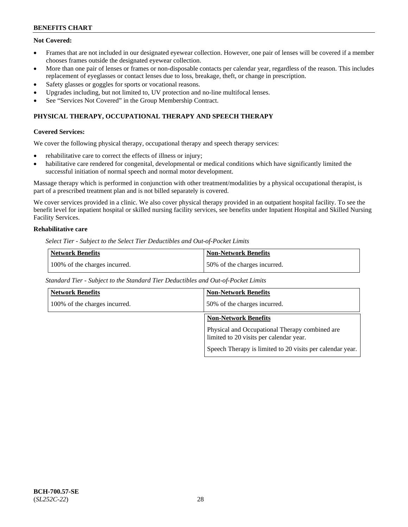### **Not Covered:**

- Frames that are not included in our designated eyewear collection. However, one pair of lenses will be covered if a member chooses frames outside the designated eyewear collection.
- More than one pair of lenses or frames or non-disposable contacts per calendar year, regardless of the reason. This includes replacement of eyeglasses or contact lenses due to loss, breakage, theft, or change in prescription.
- Safety glasses or goggles for sports or vocational reasons.
- Upgrades including, but not limited to, UV protection and no-line multifocal lenses.
- See "Services Not Covered" in the Group Membership Contract.

# **PHYSICAL THERAPY, OCCUPATIONAL THERAPY AND SPEECH THERAPY**

#### **Covered Services:**

We cover the following physical therapy, occupational therapy and speech therapy services:

- rehabilitative care to correct the effects of illness or injury;
- habilitative care rendered for congenital, developmental or medical conditions which have significantly limited the successful initiation of normal speech and normal motor development.

Massage therapy which is performed in conjunction with other treatment/modalities by a physical occupational therapist, is part of a prescribed treatment plan and is not billed separately is covered.

We cover services provided in a clinic. We also cover physical therapy provided in an outpatient hospital facility. To see the benefit level for inpatient hospital or skilled nursing facility services, see benefits under Inpatient Hospital and Skilled Nursing Facility Services.

## **Rehabilitative care**

*Select Tier - Subject to the Select Tier Deductibles and Out-of-Pocket Limits*

| <b>Network Benefits</b>       | <b>Non-Network Benefits</b>  |
|-------------------------------|------------------------------|
| 100% of the charges incurred. | 50% of the charges incurred. |

*Standard Tier - Subject to the Standard Tier Deductibles and Out-of-Pocket Limits*

| <b>Network Benefits</b>       | <b>Non-Network Benefits</b>                                                               |
|-------------------------------|-------------------------------------------------------------------------------------------|
| 100% of the charges incurred. | 50% of the charges incurred.                                                              |
|                               | <b>Non-Network Benefits</b>                                                               |
|                               | Physical and Occupational Therapy combined are<br>limited to 20 visits per calendar year. |
|                               | Speech Therapy is limited to 20 visits per calendar year.                                 |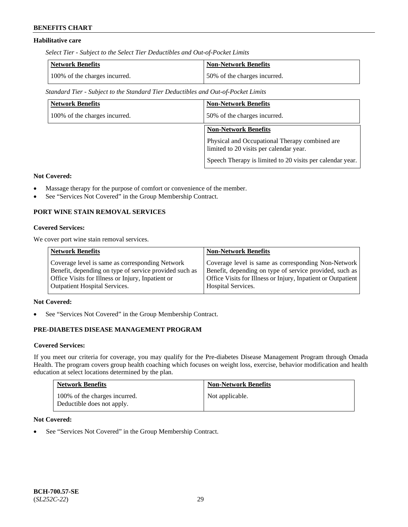# **Habilitative care**

*Select Tier - Subject to the Select Tier Deductibles and Out-of-Pocket Limits*

| Network Benefits              | <b>Non-Network Benefits</b>  |
|-------------------------------|------------------------------|
| 100% of the charges incurred. | 50% of the charges incurred. |

*Standard Tier - Subject to the Standard Tier Deductibles and Out-of-Pocket Limits*

| <b>Network Benefits</b>       | <b>Non-Network Benefits</b>                                                               |
|-------------------------------|-------------------------------------------------------------------------------------------|
| 100% of the charges incurred. | 50% of the charges incurred.                                                              |
|                               | <b>Non-Network Benefits</b>                                                               |
|                               | Physical and Occupational Therapy combined are<br>limited to 20 visits per calendar year. |
|                               | Speech Therapy is limited to 20 visits per calendar year.                                 |

### **Not Covered:**

- Massage therapy for the purpose of comfort or convenience of the member.
- See "Services Not Covered" in the Group Membership Contract.

### **PORT WINE STAIN REMOVAL SERVICES**

#### **Covered Services:**

We cover port wine stain removal services.

| Coverage level is same as corresponding Network                                                                 | <b>Network Benefits</b>                                | <b>Non-Network Benefits</b>                                                                                                                                                    |
|-----------------------------------------------------------------------------------------------------------------|--------------------------------------------------------|--------------------------------------------------------------------------------------------------------------------------------------------------------------------------------|
| Office Visits for Illness or Injury, Inpatient or<br><b>Outpatient Hospital Services.</b><br>Hospital Services. | Benefit, depending on type of service provided such as | Coverage level is same as corresponding Non-Network<br>Benefit, depending on type of service provided, such as<br>Office Visits for Illness or Injury, Inpatient or Outpatient |

#### **Not Covered:**

See "Services Not Covered" in the Group Membership Contract.

# **PRE-DIABETES DISEASE MANAGEMENT PROGRAM**

#### **Covered Services:**

If you meet our criteria for coverage, you may qualify for the Pre-diabetes Disease Management Program through Omada Health. The program covers group health coaching which focuses on weight loss, exercise, behavior modification and health education at select locations determined by the plan.

| <b>Network Benefits</b>                                     | <b>Non-Network Benefits</b> |
|-------------------------------------------------------------|-----------------------------|
| 100% of the charges incurred.<br>Deductible does not apply. | Not applicable.             |

### **Not Covered:**

• See "Services Not Covered" in the Group Membership Contract.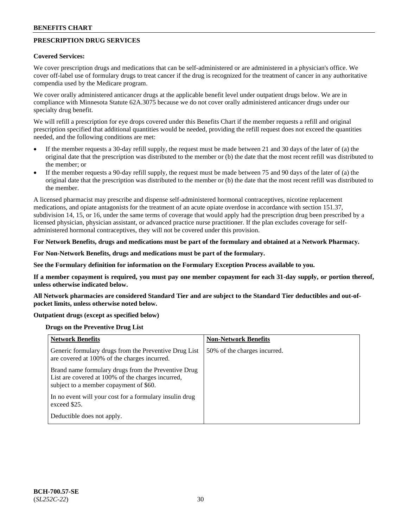# **PRESCRIPTION DRUG SERVICES**

#### **Covered Services:**

We cover prescription drugs and medications that can be self-administered or are administered in a physician's office. We cover off-label use of formulary drugs to treat cancer if the drug is recognized for the treatment of cancer in any authoritative compendia used by the Medicare program.

We cover orally administered anticancer drugs at the applicable benefit level under outpatient drugs below. We are in compliance with Minnesota Statute 62A.3075 because we do not cover orally administered anticancer drugs under our specialty drug benefit.

We will refill a prescription for eye drops covered under this Benefits Chart if the member requests a refill and original prescription specified that additional quantities would be needed, providing the refill request does not exceed the quantities needed, and the following conditions are met:

- If the member requests a 30-day refill supply, the request must be made between 21 and 30 days of the later of (a) the original date that the prescription was distributed to the member or (b) the date that the most recent refill was distributed to the member; or
- If the member requests a 90-day refill supply, the request must be made between 75 and 90 days of the later of (a) the original date that the prescription was distributed to the member or (b) the date that the most recent refill was distributed to the member.

A licensed pharmacist may prescribe and dispense self-administered hormonal contraceptives, nicotine replacement medications, and opiate antagonists for the treatment of an acute opiate overdose in accordance with section 151.37, subdivision 14, 15, or 16, under the same terms of coverage that would apply had the prescription drug been prescribed by a licensed physician, physician assistant, or advanced practice nurse practitioner. If the plan excludes coverage for selfadministered hormonal contraceptives, they will not be covered under this provision.

### **For Network Benefits, drugs and medications must be part of the formulary and obtained at a Network Pharmacy.**

#### **For Non-Network Benefits, drugs and medications must be part of the formulary.**

**See the Formulary definition for information on the Formulary Exception Process available to you.**

**If a member copayment is required, you must pay one member copayment for each 31-day supply, or portion thereof, unless otherwise indicated below.**

**All Network pharmacies are considered Standard Tier and are subject to the Standard Tier deductibles and out-ofpocket limits, unless otherwise noted below.**

### **Outpatient drugs (except as specified below)**

#### **Drugs on the Preventive Drug List**

| <b>Network Benefits</b>                                                                                                                            | <b>Non-Network Benefits</b>  |
|----------------------------------------------------------------------------------------------------------------------------------------------------|------------------------------|
| Generic formulary drugs from the Preventive Drug List<br>are covered at 100% of the charges incurred.                                              | 50% of the charges incurred. |
| Brand name formulary drugs from the Preventive Drug<br>List are covered at 100% of the charges incurred,<br>subject to a member copayment of \$60. |                              |
| In no event will your cost for a formulary insulin drug<br>exceed \$25.                                                                            |                              |
| Deductible does not apply.                                                                                                                         |                              |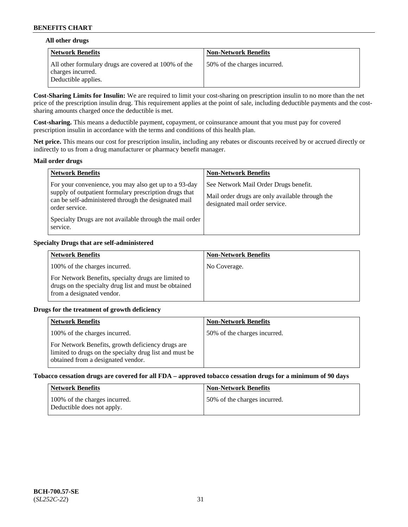### **All other drugs**

| Network Benefits                                                                                 | <b>Non-Network Benefits</b>  |
|--------------------------------------------------------------------------------------------------|------------------------------|
| All other formulary drugs are covered at 100% of the<br>charges incurred.<br>Deductible applies. | 50% of the charges incurred. |

**Cost-Sharing Limits for Insulin:** We are required to limit your cost-sharing on prescription insulin to no more than the net price of the prescription insulin drug. This requirement applies at the point of sale, including deductible payments and the costsharing amounts charged once the deductible is met.

**Cost-sharing.** This means a deductible payment, copayment, or coinsurance amount that you must pay for covered prescription insulin in accordance with the terms and conditions of this health plan.

**Net price.** This means our cost for prescription insulin, including any rebates or discounts received by or accrued directly or indirectly to us from a drug manufacturer or pharmacy benefit manager.

#### **Mail order drugs**

| <b>Network Benefits</b>                                                                                                                                                                                                                                           | <b>Non-Network Benefits</b>                                                                                                |
|-------------------------------------------------------------------------------------------------------------------------------------------------------------------------------------------------------------------------------------------------------------------|----------------------------------------------------------------------------------------------------------------------------|
| For your convenience, you may also get up to a 93-day<br>supply of outpatient formulary prescription drugs that<br>can be self-administered through the designated mail<br>order service.<br>Specialty Drugs are not available through the mail order<br>service. | See Network Mail Order Drugs benefit.<br>Mail order drugs are only available through the<br>designated mail order service. |

### **Specialty Drugs that are self-administered**

| <b>Network Benefits</b>                                                                                                                    | <b>Non-Network Benefits</b> |
|--------------------------------------------------------------------------------------------------------------------------------------------|-----------------------------|
| 100% of the charges incurred.                                                                                                              | No Coverage.                |
| For Network Benefits, specialty drugs are limited to<br>drugs on the specialty drug list and must be obtained<br>from a designated vendor. |                             |

### **Drugs for the treatment of growth deficiency**

| <b>Network Benefits</b>                                                                                                                            | <b>Non-Network Benefits</b>  |
|----------------------------------------------------------------------------------------------------------------------------------------------------|------------------------------|
| 100% of the charges incurred.                                                                                                                      | 50% of the charges incurred. |
| For Network Benefits, growth deficiency drugs are<br>limited to drugs on the specialty drug list and must be<br>obtained from a designated vendor. |                              |

#### **Tobacco cessation drugs are covered for all FDA – approved tobacco cessation drugs for a minimum of 90 days**

| <b>Network Benefits</b>                                     | <b>Non-Network Benefits</b>  |
|-------------------------------------------------------------|------------------------------|
| 100% of the charges incurred.<br>Deductible does not apply. | 50% of the charges incurred. |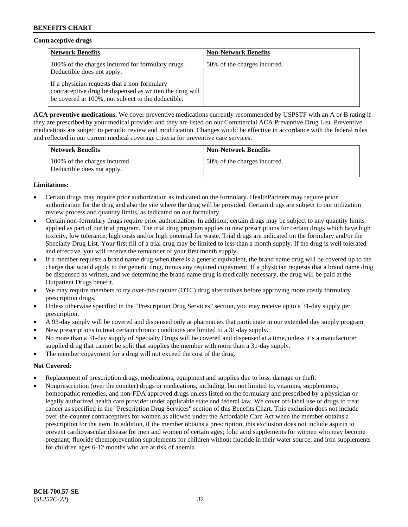# **Contraceptive drugs**

| <b>Network Benefits</b>                                                                                                                                        | <b>Non-Network Benefits</b>  |
|----------------------------------------------------------------------------------------------------------------------------------------------------------------|------------------------------|
| 100% of the charges incurred for formulary drugs.<br>Deductible does not apply.                                                                                | 50% of the charges incurred. |
| If a physician requests that a non-formulary<br>contraceptive drug be dispensed as written the drug will<br>be covered at 100%, not subject to the deductible. |                              |

**ACA preventive medications.** We cover preventive medications currently recommended by USPSTF with an A or B rating if they are prescribed by your medical provider and they are listed on our Commercial ACA Preventive Drug List. Preventive medications are subject to periodic review and modification. Changes would be effective in accordance with the federal rules and reflected in our current medical coverage criteria for preventive care services.

| <b>Network Benefits</b>                                     | <b>Non-Network Benefits</b>  |
|-------------------------------------------------------------|------------------------------|
| 100% of the charges incurred.<br>Deductible does not apply. | 50% of the charges incurred. |

# **Limitations:**

- Certain drugs may require prior authorization as indicated on the formulary. HealthPartners may require prior authorization for the drug and also the site where the drug will be provided. Certain drugs are subject to our utilization review process and quantity limits, as indicated on our formulary.
- Certain non-formulary drugs require prior authorization. In addition, certain drugs may be subject to any quantity limits applied as part of our trial program. The trial drug program applies to new prescriptions for certain drugs which have high toxicity, low tolerance, high costs and/or high potential for waste. Trial drugs are indicated on the formulary and/or the Specialty Drug List. Your first fill of a trial drug may be limited to less than a month supply. If the drug is well tolerated and effective, you will receive the remainder of your first month supply.
- If a member requests a brand name drug when there is a generic equivalent, the brand name drug will be covered up to the charge that would apply to the generic drug, minus any required copayment. If a physician requests that a brand name drug be dispensed as written, and we determine the brand name drug is medically necessary, the drug will be paid at the Outpatient Drugs benefit.
- We may require members to try over-the-counter (OTC) drug alternatives before approving more costly formulary prescription drugs.
- Unless otherwise specified in the "Prescription Drug Services" section, you may receive up to a 31-day supply per prescription.
- A 93-day supply will be covered and dispensed only at pharmacies that participate in our extended day supply program
- New prescriptions to treat certain chronic conditions are limited to a 31-day supply.
- No more than a 31-day supply of Specialty Drugs will be covered and dispensed at a time, unless it's a manufacturer supplied drug that cannot be split that supplies the member with more than a 31-day supply.
- The member copayment for a drug will not exceed the cost of the drug.

### **Not Covered:**

- Replacement of prescription drugs, medications, equipment and supplies due to loss, damage or theft.
- Nonprescription (over the counter) drugs or medications, including, but not limited to, vitamins, supplements, homeopathic remedies, and non-FDA approved drugs unless listed on the formulary and prescribed by a physician or legally authorized health care provider under applicable state and federal law. We cover off-label use of drugs to treat cancer as specified in the "Prescription Drug Services" section of this Benefits Chart. This exclusion does not include over-the-counter contraceptives for women as allowed under the Affordable Care Act when the member obtains a prescription for the item. In addition, if the member obtains a prescription, this exclusion does not include aspirin to prevent cardiovascular disease for men and women of certain ages; folic acid supplements for women who may become pregnant; fluoride chemoprevention supplements for children without fluoride in their water source; and iron supplements for children ages 6-12 months who are at risk of anemia.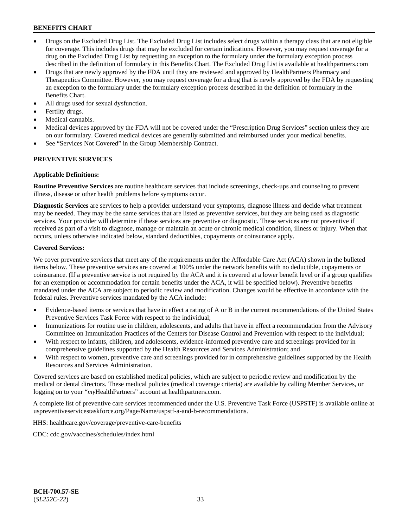- Drugs on the Excluded Drug List. The Excluded Drug List includes select drugs within a therapy class that are not eligible for coverage. This includes drugs that may be excluded for certain indications. However, you may request coverage for a drug on the Excluded Drug List by requesting an exception to the formulary under the formulary exception process described in the definition of formulary in this Benefits Chart. The Excluded Drug List is available at [healthpartners.com](http://www.healthpartners.com/)
- Drugs that are newly approved by the FDA until they are reviewed and approved by HealthPartners Pharmacy and Therapeutics Committee. However, you may request coverage for a drug that is newly approved by the FDA by requesting an exception to the formulary under the formulary exception process described in the definition of formulary in the Benefits Chart.
- All drugs used for sexual dysfunction.
- Fertilty drugs.
- Medical cannabis.
- Medical devices approved by the FDA will not be covered under the "Prescription Drug Services" section unless they are on our formulary. Covered medical devices are generally submitted and reimbursed under your medical benefits.
- See "Services Not Covered" in the Group Membership Contract.

### **PREVENTIVE SERVICES**

#### **Applicable Definitions:**

**Routine Preventive Services** are routine healthcare services that include screenings, check-ups and counseling to prevent illness, disease or other health problems before symptoms occur.

**Diagnostic Services** are services to help a provider understand your symptoms, diagnose illness and decide what treatment may be needed. They may be the same services that are listed as preventive services, but they are being used as diagnostic services. Your provider will determine if these services are preventive or diagnostic. These services are not preventive if received as part of a visit to diagnose, manage or maintain an acute or chronic medical condition, illness or injury. When that occurs, unless otherwise indicated below, standard deductibles, copayments or coinsurance apply.

#### **Covered Services:**

We cover preventive services that meet any of the requirements under the Affordable Care Act (ACA) shown in the bulleted items below. These preventive services are covered at 100% under the network benefits with no deductible, copayments or coinsurance. (If a preventive service is not required by the ACA and it is covered at a lower benefit level or if a group qualifies for an exemption or accommodation for certain benefits under the ACA, it will be specified below). Preventive benefits mandated under the ACA are subject to periodic review and modification. Changes would be effective in accordance with the federal rules. Preventive services mandated by the ACA include:

- Evidence-based items or services that have in effect a rating of A or B in the current recommendations of the United States Preventive Services Task Force with respect to the individual;
- Immunizations for routine use in children, adolescents, and adults that have in effect a recommendation from the Advisory Committee on Immunization Practices of the Centers for Disease Control and Prevention with respect to the individual;
- With respect to infants, children, and adolescents, evidence-informed preventive care and screenings provided for in comprehensive guidelines supported by the Health Resources and Services Administration; and
- With respect to women, preventive care and screenings provided for in comprehensive guidelines supported by the Health Resources and Services Administration.

Covered services are based on established medical policies, which are subject to periodic review and modification by the medical or dental directors. These medical policies (medical coverage criteria) are available by calling Member Services, or logging on to your "*my*HealthPartners" account at [healthpartners.com.](http://www.healthpartners.com/)

A complete list of preventive care services recommended under the U.S. Preventive Task Force (USPSTF) is available online at [uspreventiveservicestaskforce.org/Page/Name/uspstf-a-and-b-recommendations.](https://www.uspreventiveservicestaskforce.org/Page/Name/uspstf-a-and-b-recommendations-by-date/)

HHS: [healthcare.gov/coverage/preventive-care-benefits](https://www.healthcare.gov/coverage/preventive-care-benefits/)

CDC: [cdc.gov/vaccines/schedules/index.html](https://www.cdc.gov/vaccines/schedules/index.html)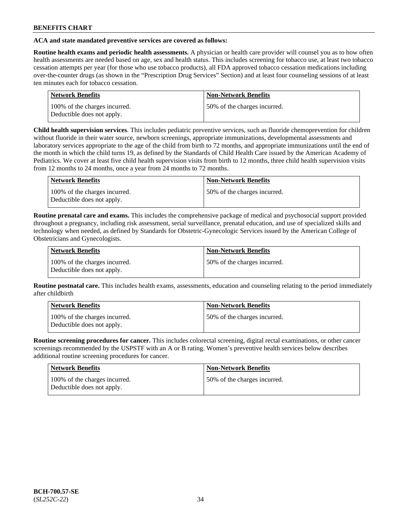### **ACA and state mandated preventive services are covered as follows:**

**Routine health exams and periodic health assessments.** A physician or health care provider will counsel you as to how often health assessments are needed based on age, sex and health status. This includes screening for tobacco use, at least two tobacco cessation attempts per year (for those who use tobacco products), all FDA approved tobacco cessation medications including over-the-counter drugs (as shown in the "Prescription Drug Services" Section) and at least four counseling sessions of at least ten minutes each for tobacco cessation.

| <b>Network Benefits</b>                                     | <b>Non-Network Benefits</b>  |
|-------------------------------------------------------------|------------------------------|
| 100% of the charges incurred.<br>Deductible does not apply. | 50% of the charges incurred. |

**Child health supervision services**. This includes pediatric preventive services, such as fluoride chemoprevention for children without fluoride in their water source, newborn screenings, appropriate immunizations, developmental assessments and laboratory services appropriate to the age of the child from birth to 72 months, and appropriate immunizations until the end of the month in which the child turns 19, as defined by the Standards of Child Health Care issued by the American Academy of Pediatrics. We cover at least five child health supervision visits from birth to 12 months, three child health supervision visits from 12 months to 24 months, once a year from 24 months to 72 months.

| Network Benefits                                            | <b>Non-Network Benefits</b>  |
|-------------------------------------------------------------|------------------------------|
| 100% of the charges incurred.<br>Deductible does not apply. | 50% of the charges incurred. |

**Routine prenatal care and exams.** This includes the comprehensive package of medical and psychosocial support provided throughout a pregnancy, including risk assessment, serial surveillance, prenatal education, and use of specialized skills and technology when needed, as defined by Standards for Obstetric-Gynecologic Services issued by the American College of Obstetricians and Gynecologists.

| Network Benefits                                            | <b>Non-Network Benefits</b>   |
|-------------------------------------------------------------|-------------------------------|
| 100% of the charges incurred.<br>Deductible does not apply. | 150% of the charges incurred. |

**Routine postnatal care.** This includes health exams, assessments, education and counseling relating to the period immediately after childbirth

| Network Benefits                                            | <b>Non-Network Benefits</b>  |
|-------------------------------------------------------------|------------------------------|
| 100% of the charges incurred.<br>Deductible does not apply. | 50% of the charges incurred. |

**Routine screening procedures for cancer.** This includes colorectal screening, digital rectal examinations, or other cancer screenings recommended by the USPSTF with an A or B rating. Women's preventive health services below describes additional routine screening procedures for cancer.

| <b>Network Benefits</b>                                     | <b>Non-Network Benefits</b>  |
|-------------------------------------------------------------|------------------------------|
| 100% of the charges incurred.<br>Deductible does not apply. | 50% of the charges incurred. |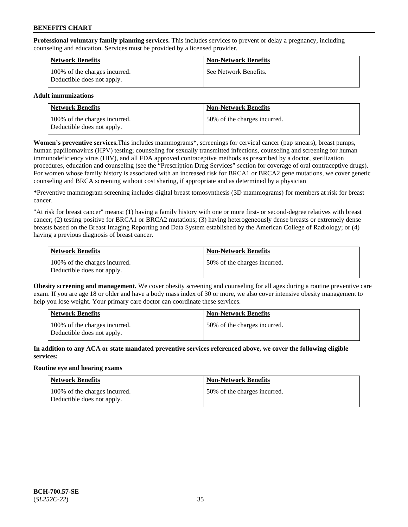**Professional voluntary family planning services.** This includes services to prevent or delay a pregnancy, including counseling and education. Services must be provided by a licensed provider.

| <b>Network Benefits</b>                                     | <b>Non-Network Benefits</b> |
|-------------------------------------------------------------|-----------------------------|
| 100% of the charges incurred.<br>Deductible does not apply. | See Network Benefits.       |

### **Adult immunizations**

| <b>Network Benefits</b>                                     | <b>Non-Network Benefits</b>   |
|-------------------------------------------------------------|-------------------------------|
| 100% of the charges incurred.<br>Deductible does not apply. | 150% of the charges incurred. |

**Women's preventive services.**This includes mammograms\*, screenings for cervical cancer (pap smears), breast pumps, human papillomavirus (HPV) testing; counseling for sexually transmitted infections, counseling and screening for human immunodeficiency virus (HIV), and all FDA approved contraceptive methods as prescribed by a doctor, sterilization procedures, education and counseling (see the "Prescription Drug Services" section for coverage of oral contraceptive drugs). For women whose family history is associated with an increased risk for BRCA1 or BRCA2 gene mutations, we cover genetic counseling and BRCA screening without cost sharing, if appropriate and as determined by a physician

**\***Preventive mammogram screening includes digital breast tomosynthesis (3D mammograms) for members at risk for breast cancer.

"At risk for breast cancer" means: (1) having a family history with one or more first- or second-degree relatives with breast cancer; (2) testing positive for BRCA1 or BRCA2 mutations; (3) having heterogeneously dense breasts or extremely dense breasts based on the Breast Imaging Reporting and Data System established by the American College of Radiology; or (4) having a previous diagnosis of breast cancer.

| Network Benefits                                            | <b>Non-Network Benefits</b>  |
|-------------------------------------------------------------|------------------------------|
| 100% of the charges incurred.<br>Deductible does not apply. | 50% of the charges incurred. |

**Obesity screening and management.** We cover obesity screening and counseling for all ages during a routine preventive care exam. If you are age 18 or older and have a body mass index of 30 or more, we also cover intensive obesity management to help you lose weight. Your primary care doctor can coordinate these services.

| <b>Network Benefits</b>                                     | <b>Non-Network Benefits</b>   |
|-------------------------------------------------------------|-------------------------------|
| 100% of the charges incurred.<br>Deductible does not apply. | 150% of the charges incurred. |

**In addition to any ACA or state mandated preventive services referenced above, we cover the following eligible services:**

### **Routine eye and hearing exams**

| <b>Network Benefits</b>                                     | <b>Non-Network Benefits</b>  |
|-------------------------------------------------------------|------------------------------|
| 100% of the charges incurred.<br>Deductible does not apply. | 50% of the charges incurred. |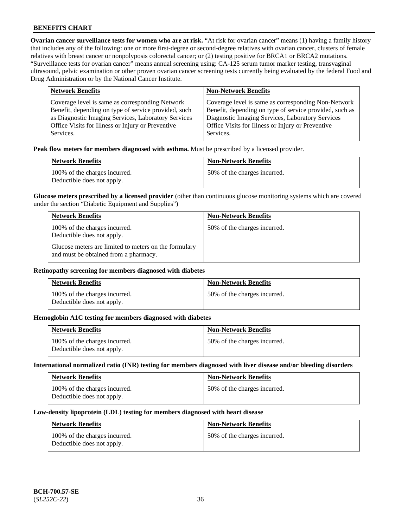**Ovarian cancer surveillance tests for women who are at risk.** "At risk for ovarian cancer" means (1) having a family history that includes any of the following: one or more first-degree or second-degree relatives with ovarian cancer, clusters of female relatives with breast cancer or nonpolyposis colorectal cancer; or (2) testing positive for BRCA1 or BRCA2 mutations. "Surveillance tests for ovarian cancer" means annual screening using: CA-125 serum tumor marker testing, transvaginal ultrasound, pelvic examination or other proven ovarian cancer screening tests currently being evaluated by the federal Food and Drug Administration or by the National Cancer Institute.

| <b>Network Benefits</b>                              | <b>Non-Network Benefits</b>                             |
|------------------------------------------------------|---------------------------------------------------------|
| Coverage level is same as corresponding Network      | Coverage level is same as corresponding Non-Network     |
| Benefit, depending on type of service provided, such | Benefit, depending on type of service provided, such as |
| as Diagnostic Imaging Services, Laboratory Services  | Diagnostic Imaging Services, Laboratory Services        |
| Office Visits for Illness or Injury or Preventive    | Office Visits for Illness or Injury or Preventive       |
| Services.                                            | Services.                                               |

**Peak flow meters for members diagnosed with asthma.** Must be prescribed by a licensed provider.

| <b>Network Benefits</b>                                     | <b>Non-Network Benefits</b>  |
|-------------------------------------------------------------|------------------------------|
| 100% of the charges incurred.<br>Deductible does not apply. | 50% of the charges incurred. |

**Glucose meters prescribed by a licensed provider** (other than continuous glucose monitoring systems which are covered under the section "Diabetic Equipment and Supplies")

| <b>Network Benefits</b>                                                                        | <b>Non-Network Benefits</b>  |
|------------------------------------------------------------------------------------------------|------------------------------|
| 100% of the charges incurred.<br>Deductible does not apply.                                    | 50% of the charges incurred. |
| Glucose meters are limited to meters on the formulary<br>and must be obtained from a pharmacy. |                              |

#### **Retinopathy screening for members diagnosed with diabetes**

| <b>Network Benefits</b>                                     | <b>Non-Network Benefits</b>  |
|-------------------------------------------------------------|------------------------------|
| 100% of the charges incurred.<br>Deductible does not apply. | 50% of the charges incurred. |

#### **Hemoglobin A1C testing for members diagnosed with diabetes**

| <b>Network Benefits</b>                                     | <b>Non-Network Benefits</b>  |
|-------------------------------------------------------------|------------------------------|
| 100% of the charges incurred.<br>Deductible does not apply. | 50% of the charges incurred. |

#### **International normalized ratio (INR) testing for members diagnosed with liver disease and/or bleeding disorders**

| <b>Network Benefits</b>                                     | <b>Non-Network Benefits</b>  |
|-------------------------------------------------------------|------------------------------|
| 100% of the charges incurred.<br>Deductible does not apply. | 50% of the charges incurred. |

#### **Low-density lipoprotein (LDL) testing for members diagnosed with heart disease**

| <b>Network Benefits</b>                                     | <b>Non-Network Benefits</b>  |
|-------------------------------------------------------------|------------------------------|
| 100% of the charges incurred.<br>Deductible does not apply. | 50% of the charges incurred. |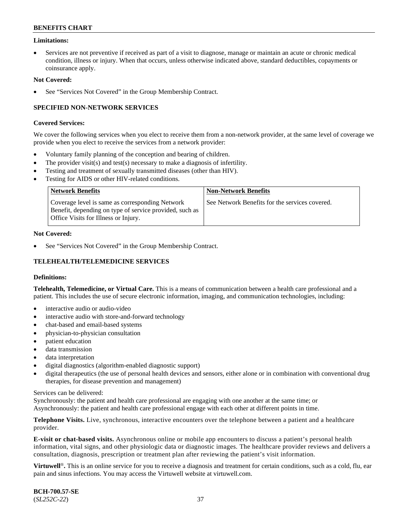### **Limitations:**

• Services are not preventive if received as part of a visit to diagnose, manage or maintain an acute or chronic medical condition, illness or injury. When that occurs, unless otherwise indicated above, standard deductibles, copayments or coinsurance apply.

#### **Not Covered:**

See "Services Not Covered" in the Group Membership Contract.

### **SPECIFIED NON-NETWORK SERVICES**

#### **Covered Services:**

We cover the following services when you elect to receive them from a non-network provider, at the same level of coverage we provide when you elect to receive the services from a network provider:

- Voluntary family planning of the conception and bearing of children.
- The provider visit(s) and test(s) necessary to make a diagnosis of infertility.
- Testing and treatment of sexually transmitted diseases (other than HIV).
- Testing for AIDS or other HIV-related conditions.

| <b>Network Benefits</b>                                                                                                                                   | <b>Non-Network Benefits</b>                    |
|-----------------------------------------------------------------------------------------------------------------------------------------------------------|------------------------------------------------|
| Coverage level is same as corresponding Network<br>Benefit, depending on type of service provided, such as<br><b>Office Visits for Illness or Injury.</b> | See Network Benefits for the services covered. |

#### **Not Covered:**

See "Services Not Covered" in the Group Membership Contract.

# **TELEHEALTH/TELEMEDICINE SERVICES**

#### **Definitions:**

**Telehealth, Telemedicine, or Virtual Care.** This is a means of communication between a health care professional and a patient. This includes the use of secure electronic information, imaging, and communication technologies, including:

- interactive audio or audio-video
- interactive audio with store-and-forward technology
- chat-based and email-based systems
- physician-to-physician consultation
- patient education
- data transmission
- data interpretation
- digital diagnostics (algorithm-enabled diagnostic support)
- digital therapeutics (the use of personal health devices and sensors, either alone or in combination with conventional drug therapies, for disease prevention and management)

#### Services can be delivered:

Synchronously: the patient and health care professional are engaging with one another at the same time; or Asynchronously: the patient and health care professional engage with each other at different points in time.

**Telephone Visits.** Live, synchronous, interactive encounters over the telephone between a patient and a healthcare provider.

**E-visit or chat-based visits.** Asynchronous online or mobile app encounters to discuss a patient's personal health information, vital signs, and other physiologic data or diagnostic images. The healthcare provider reviews and delivers a consultation, diagnosis, prescription or treatment plan after reviewing the patient's visit information.

**Virtuwell<sup>®</sup>**. This is an online service for you to receive a diagnosis and treatment for certain conditions, such as a cold, flu, ear pain and sinus infections. You may access the Virtuwell website at [virtuwell.com.](https://www.virtuwell.com/)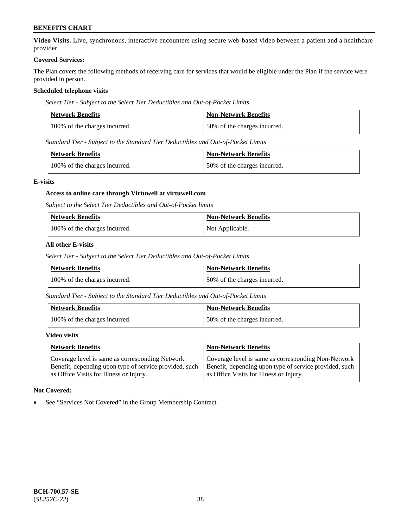**Video Visits.** Live, synchronous, interactive encounters using secure web-based video between a patient and a healthcare provider.

#### **Covered Services:**

The Plan covers the following methods of receiving care for services that would be eligible under the Plan if the service were provided in person.

### **Scheduled telephone visits**

*Select Tier - Subject to the Select Tier Deductibles and Out-of-Pocket Limits*

| Network Benefits              | <b>Non-Network Benefits</b>  |
|-------------------------------|------------------------------|
| 100% of the charges incurred. | 50% of the charges incurred. |

*Standard Tier - Subject to the Standard Tier Deductibles and Out-of-Pocket Limits*

| Network Benefits              | <b>Non-Network Benefits</b>  |
|-------------------------------|------------------------------|
| 100% of the charges incurred. | 50% of the charges incurred. |

### **E-visits**

### **Access to online care through Virtuwell at [virtuwell.com](https://www.virtuwell.com/)**

*Subject to the Select Tier Deductibles and Out-of-Pocket limits*

| <b>Network Benefits</b>       | <b>Non-Network Benefits</b> |
|-------------------------------|-----------------------------|
| 100% of the charges incurred. | Not Applicable.             |

### **All other E-visits**

*Select Tier - Subject to the Select Tier Deductibles and Out-of-Pocket Limits*

| Network Benefits              | Non-Network Benefits         |
|-------------------------------|------------------------------|
| 100% of the charges incurred. | 50% of the charges incurred. |

*Standard Tier - Subject to the Standard Tier Deductibles and Out-of-Pocket Limits*

| Network Benefits              | <b>Non-Network Benefits</b>  |
|-------------------------------|------------------------------|
| 100% of the charges incurred. | 50% of the charges incurred. |

#### **Video visits**

| <b>Network Benefits</b>                                | <b>Non-Network Benefits</b>                            |
|--------------------------------------------------------|--------------------------------------------------------|
| Coverage level is same as corresponding Network        | Coverage level is same as corresponding Non-Network    |
| Benefit, depending upon type of service provided, such | Benefit, depending upon type of service provided, such |
| as Office Visits for Illness or Injury.                | as Office Visits for Illness or Injury.                |

### **Not Covered:**

See "Services Not Covered" in the Group Membership Contract.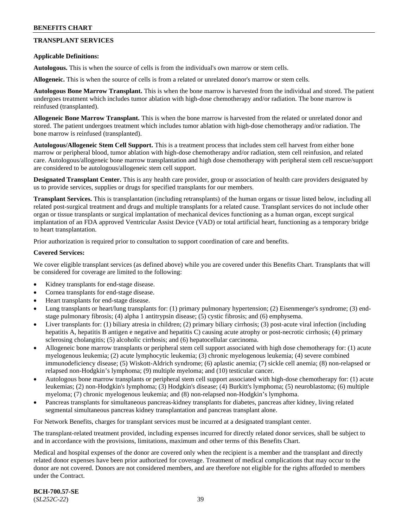# **TRANSPLANT SERVICES**

#### **Applicable Definitions:**

**Autologous.** This is when the source of cells is from the individual's own marrow or stem cells.

**Allogeneic.** This is when the source of cells is from a related or unrelated donor's marrow or stem cells.

**Autologous Bone Marrow Transplant.** This is when the bone marrow is harvested from the individual and stored. The patient undergoes treatment which includes tumor ablation with high-dose chemotherapy and/or radiation. The bone marrow is reinfused (transplanted).

**Allogeneic Bone Marrow Transplant.** This is when the bone marrow is harvested from the related or unrelated donor and stored. The patient undergoes treatment which includes tumor ablation with high-dose chemotherapy and/or radiation. The bone marrow is reinfused (transplanted).

**Autologous/Allogeneic Stem Cell Support.** This is a treatment process that includes stem cell harvest from either bone marrow or peripheral blood, tumor ablation with high-dose chemotherapy and/or radiation, stem cell reinfusion, and related care. Autologous/allogeneic bone marrow transplantation and high dose chemotherapy with peripheral stem cell rescue/support are considered to be autologous/allogeneic stem cell support.

**Designated Transplant Center.** This is any health care provider, group or association of health care providers designated by us to provide services, supplies or drugs for specified transplants for our members.

**Transplant Services.** This is transplantation (including retransplants) of the human organs or tissue listed below, including all related post-surgical treatment and drugs and multiple transplants for a related cause. Transplant services do not include other organ or tissue transplants or surgical implantation of mechanical devices functioning as a human organ, except surgical implantation of an FDA approved Ventricular Assist Device (VAD) or total artificial heart, functioning as a temporary bridge to heart transplantation.

Prior authorization is required prior to consultation to support coordination of care and benefits.

#### **Covered Services:**

We cover eligible transplant services (as defined above) while you are covered under this Benefits Chart. Transplants that will be considered for coverage are limited to the following:

- Kidney transplants for end-stage disease.
- Cornea transplants for end-stage disease.
- Heart transplants for end-stage disease.
- Lung transplants or heart/lung transplants for: (1) primary pulmonary hypertension; (2) Eisenmenger's syndrome; (3) endstage pulmonary fibrosis; (4) alpha 1 antitrypsin disease; (5) cystic fibrosis; and (6) emphysema.
- Liver transplants for: (1) biliary atresia in children; (2) primary biliary cirrhosis; (3) post-acute viral infection (including hepatitis A, hepatitis B antigen e negative and hepatitis C) causing acute atrophy or post-necrotic cirrhosis; (4) primary sclerosing cholangitis; (5) alcoholic cirrhosis; and (6) hepatocellular carcinoma.
- Allogeneic bone marrow transplants or peripheral stem cell support associated with high dose chemotherapy for: (1) acute myelogenous leukemia; (2) acute lymphocytic leukemia; (3) chronic myelogenous leukemia; (4) severe combined immunodeficiency disease; (5) Wiskott-Aldrich syndrome; (6) aplastic anemia; (7) sickle cell anemia; (8) non-relapsed or relapsed non-Hodgkin's lymphoma; (9) multiple myeloma; and (10) testicular cancer.
- Autologous bone marrow transplants or peripheral stem cell support associated with high-dose chemotherapy for: (1) acute leukemias; (2) non-Hodgkin's lymphoma; (3) Hodgkin's disease; (4) Burkitt's lymphoma; (5) neuroblastoma; (6) multiple myeloma; (7) chronic myelogenous leukemia; and (8) non-relapsed non-Hodgkin's lymphoma.
- Pancreas transplants for simultaneous pancreas-kidney transplants for diabetes, pancreas after kidney, living related segmental simultaneous pancreas kidney transplantation and pancreas transplant alone.

For Network Benefits, charges for transplant services must be incurred at a designated transplant center.

The transplant-related treatment provided, including expenses incurred for directly related donor services, shall be subject to and in accordance with the provisions, limitations, maximum and other terms of this Benefits Chart.

Medical and hospital expenses of the donor are covered only when the recipient is a member and the transplant and directly related donor expenses have been prior authorized for coverage. Treatment of medical complications that may occur to the donor are not covered. Donors are not considered members, and are therefore not eligible for the rights afforded to members under the Contract.